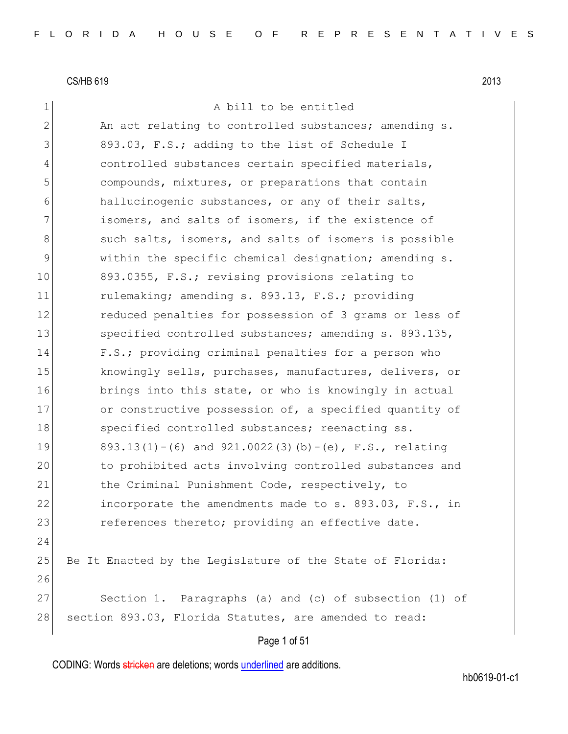## 1 a bill to be entitled

2 An act relating to controlled substances; amending s. 3 893.03, F.S.; adding to the list of Schedule I 4 controlled substances certain specified materials, 5 compounds, mixtures, or preparations that contain 6 hallucinogenic substances, or any of their salts, 7 **isomers, and salts of isomers, if the existence of** 8 such salts, isomers, and salts of isomers is possible 9 within the specific chemical designation; amending s. 10 893.0355, F.S.; revising provisions relating to 11 rulemaking; amending s. 893.13, F.S.; providing 12 reduced penalties for possession of 3 grams or less of 13 Specified controlled substances; amending s. 893.135, 14 F.S.; providing criminal penalties for a person who 15 knowingly sells, purchases, manufactures, delivers, or 16 brings into this state, or who is knowingly in actual 17 or constructive possession of, a specified quantity of 18 Specified controlled substances; reenacting ss. 19 893.13(1)-(6) and  $921.0022(3)$  (b)-(e), F.S., relating 20 to prohibited acts involving controlled substances and 21 the Criminal Punishment Code, respectively, to 22 incorporate the amendments made to s. 893.03, F.S., in 23 references thereto; providing an effective date. 24 25 Be It Enacted by the Legislature of the State of Florida: 26 27 Section 1. Paragraphs (a) and (c) of subsection (1) of 28 section 893.03, Florida Statutes, are amended to read:

## Page 1 of 51

CODING: Words stricken are deletions; words underlined are additions.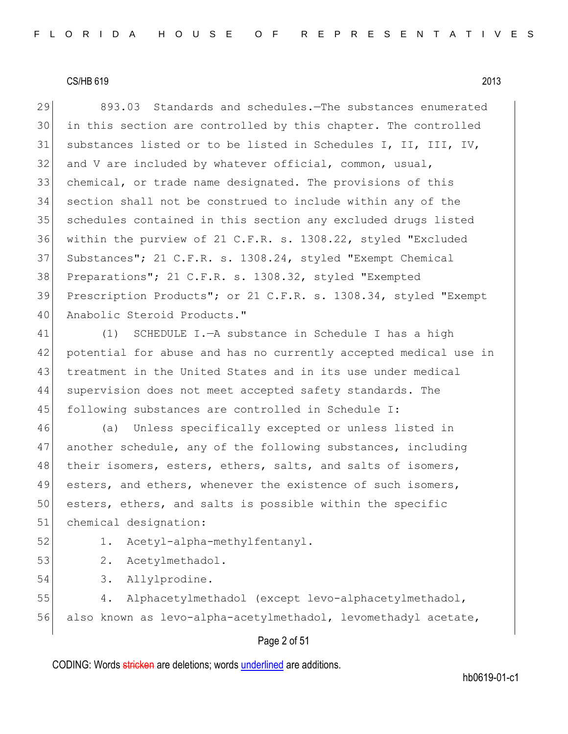29 893.03 Standards and schedules.—The substances enumerated in this section are controlled by this chapter. The controlled substances listed or to be listed in Schedules I, II, III, IV, and V are included by whatever official, common, usual, chemical, or trade name designated. The provisions of this section shall not be construed to include within any of the schedules contained in this section any excluded drugs listed within the purview of 21 C.F.R. s. 1308.22, styled "Excluded 37 Substances"; 21 C.F.R. s. 1308.24, styled "Exempt Chemical Preparations"; 21 C.F.R. s. 1308.32, styled "Exempted Prescription Products"; or 21 C.F.R. s. 1308.34, styled "Exempt 40 Anabolic Steroid Products."

 (1) SCHEDULE I.—A substance in Schedule I has a high potential for abuse and has no currently accepted medical use in 43 treatment in the United States and in its use under medical supervision does not meet accepted safety standards. The following substances are controlled in Schedule I:

46 (a) Unless specifically excepted or unless listed in 47 another schedule, any of the following substances, including 48 their isomers, esters, ethers, salts, and salts of isomers, 49 esters, and ethers, whenever the existence of such isomers, 50 esters, ethers, and salts is possible within the specific 51 chemical designation:

52 1. Acetyl-alpha-methylfentanyl.

- 53 2. Acetylmethadol.
- 54 3. Allylprodine.

55 4. Alphacetylmethadol (except levo-alphacetylmethadol, 56 also known as levo-alpha-acetylmethadol, levomethadyl acetate,

## Page 2 of 51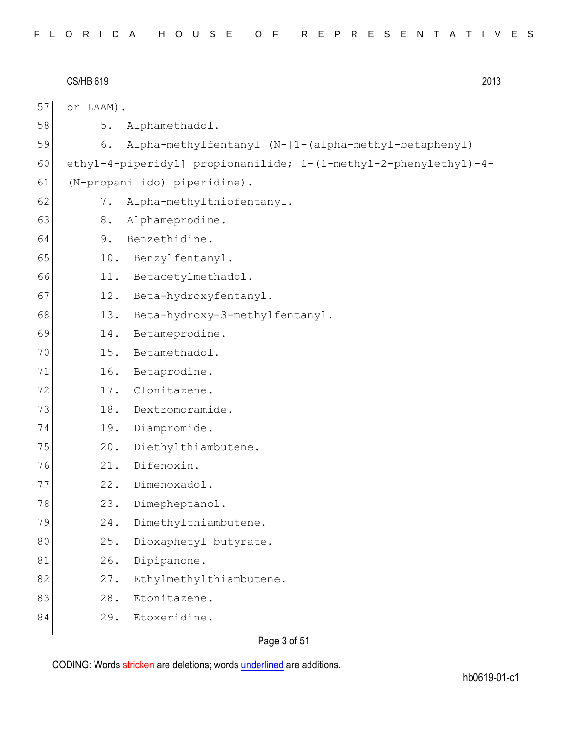|    | <b>CS/HB 619</b> | 2013                                                             |
|----|------------------|------------------------------------------------------------------|
| 57 | or LAAM).        |                                                                  |
| 58 | 5.               | Alphamethadol.                                                   |
| 59 | 6.               | Alpha-methylfentanyl (N-[1-(alpha-methyl-betaphenyl)             |
| 60 |                  | ethyl-4-piperidyl] propionanilide; 1-(1-methyl-2-phenylethyl)-4- |
| 61 |                  | (N-propanilido) piperidine).                                     |
| 62 | $7$ .            | Alpha-methylthiofentanyl.                                        |
| 63 | 8.               | Alphameprodine.                                                  |
| 64 | 9.               | Benzethidine.                                                    |
| 65 | 10.              | Benzylfentanyl.                                                  |
| 66 | 11.              | Betacetylmethadol.                                               |
| 67 | 12.              | Beta-hydroxyfentanyl.                                            |
| 68 | 13.              | Beta-hydroxy-3-methylfentanyl.                                   |
| 69 | 14.              | Betameprodine.                                                   |
| 70 | 15.              | Betamethadol.                                                    |
| 71 | 16.              | Betaprodine.                                                     |
| 72 | 17.              | Clonitazene.                                                     |
| 73 | 18.              | Dextromoramide.                                                  |
| 74 | 19.              | Diampromide.                                                     |
| 75 | 20.              | Diethylthiambutene.                                              |
| 76 | 21.              | Difenoxin.                                                       |
| 77 | 22.              | Dimenoxadol.                                                     |
| 78 | 23.              | Dimepheptanol.                                                   |
| 79 | 24.              | Dimethylthiambutene.                                             |
| 80 | 25.              | Dioxaphetyl butyrate.                                            |
| 81 | 26.              | Dipipanone.                                                      |
| 82 | 27.              | Ethylmethylthiambutene.                                          |
| 83 | 28.              | Etonitazene.                                                     |
| 84 | 29.              | Etoxeridine.                                                     |
|    |                  |                                                                  |

Page 3 of 51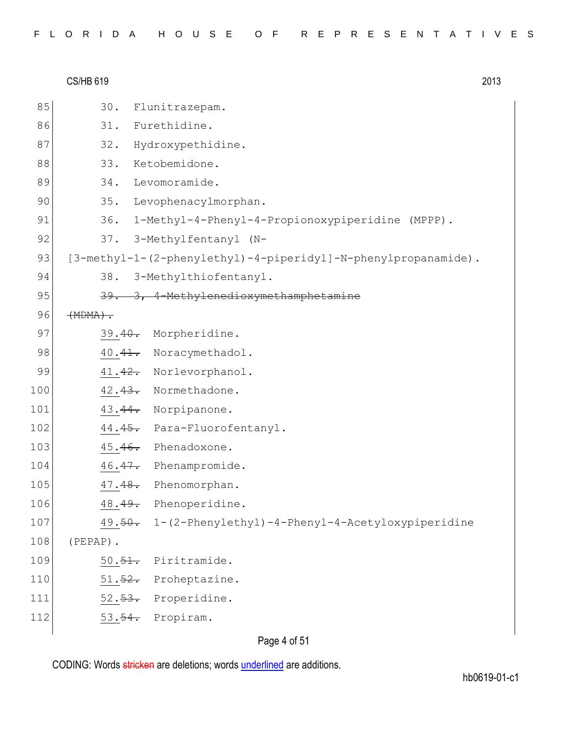|     | <b>CS/HB 619</b> |                                                                | 2013 |
|-----|------------------|----------------------------------------------------------------|------|
| 85  | 30.              | Flunitrazepam.                                                 |      |
| 86  |                  | 31. Furethidine.                                               |      |
| 87  | 32.              | Hydroxypethidine.                                              |      |
| 88  |                  | 33. Ketobemidone.                                              |      |
| 89  |                  | 34. Levomoramide.                                              |      |
| 90  | 35.              | Levophenacylmorphan.                                           |      |
| 91  |                  | 36. 1-Methyl-4-Phenyl-4-Propionoxypiperidine (MPPP).           |      |
| 92  | 37.              | 3-Methylfentanyl (N-                                           |      |
| 93  |                  | [3-methyl-1-(2-phenylethyl)-4-piperidyl]-N-phenylpropanamide). |      |
| 94  | 38.              | 3-Methylthiofentanyl.                                          |      |
| 95  |                  | 39. 3, 4-Methylenedioxymethamphetamine                         |      |
| 96  | $(MDMA)$ .       |                                                                |      |
| 97  |                  | 39.40. Morpheridine.                                           |      |
| 98  |                  | 40.41. Noracymethadol.                                         |      |
| 99  |                  | 41.42. Norlevorphanol.                                         |      |
| 100 |                  | 42.43. Normethadone.                                           |      |
| 101 |                  | 43.44. Norpipanone.                                            |      |
| 102 |                  | 44.45. Para-Fluorofentanyl.                                    |      |
| 103 |                  | 45.46. Phenadoxone.                                            |      |
| 104 |                  | 46.47. Phenampromide.                                          |      |
| 105 | 47.48.           | Phenomorphan.                                                  |      |
| 106 |                  | 48.49. Phenoperidine.                                          |      |
| 107 |                  | 49.50. 1-(2-Phenylethyl)-4-Phenyl-4-Acetyloxypiperidine        |      |
| 108 | $(PEPAP)$ .      |                                                                |      |
| 109 | 50.51.           | Piritramide.                                                   |      |
| 110 |                  | 51.52. Proheptazine.                                           |      |
| 111 |                  | 52.53. Properidine.                                            |      |
| 112 |                  | 53. <del>54.</del> Propiram.                                   |      |
|     |                  |                                                                |      |

Page 4 of 51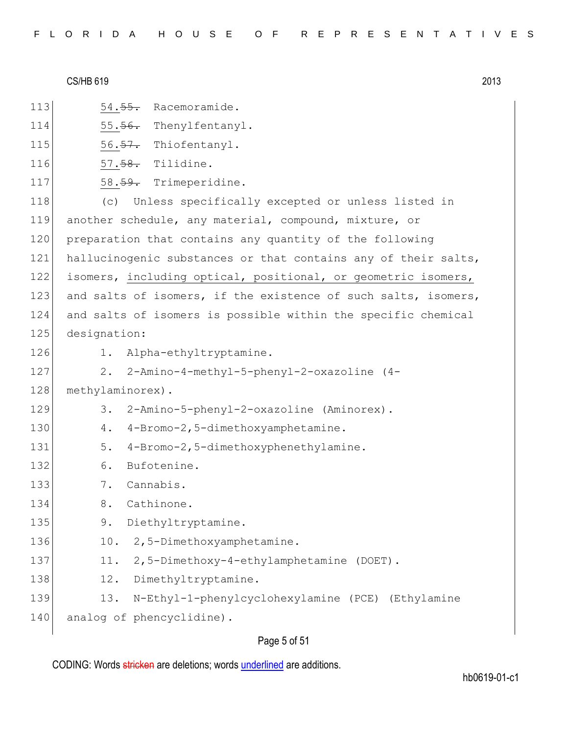| FLORIDA HOUSE OF REPRESENTATIVES |  |
|----------------------------------|--|
|----------------------------------|--|

- 113 54.55. Racemoramide.
- 114 55.56. Thenylfentanyl.
- 115  $56.57$ . Thiofentanyl.
- 116 57.58. Tilidine.
- 117 58.59. Trimeperidine.

118 (c) Unless specifically excepted or unless listed in 119 another schedule, any material, compound, mixture, or 120 preparation that contains any quantity of the following 121 hallucinogenic substances or that contains any of their salts, 122 isomers, including optical, positional, or geometric isomers, 123 and salts of isomers, if the existence of such salts, isomers, 124 and salts of isomers is possible within the specific chemical 125 designation:

- 
- 126 1. Alpha-ethyltryptamine.
- 127 2. 2-Amino-4-methyl-5-phenyl-2-oxazoline (4-
- 128 methylaminorex).
- 129 3. 2-Amino-5-phenyl-2-oxazoline (Aminorex).
- 130 4. 4-Bromo-2,5-dimethoxyamphetamine.
- 131 5. 4-Bromo-2,5-dimethoxyphenethylamine.
- 132 6. Bufotenine.
- 133 7. Cannabis.
- 134 8. Cathinone.
- 135 9. Diethyltryptamine.
- 136 10. 2,5-Dimethoxyamphetamine.
- 137 11. 2,5-Dimethoxy-4-ethylamphetamine (DOET).
- 138 12. Dimethyltryptamine.
- 139 13. N-Ethyl-1-phenylcyclohexylamine (PCE) (Ethylamine

140 analog of phencyclidine).

## Page 5 of 51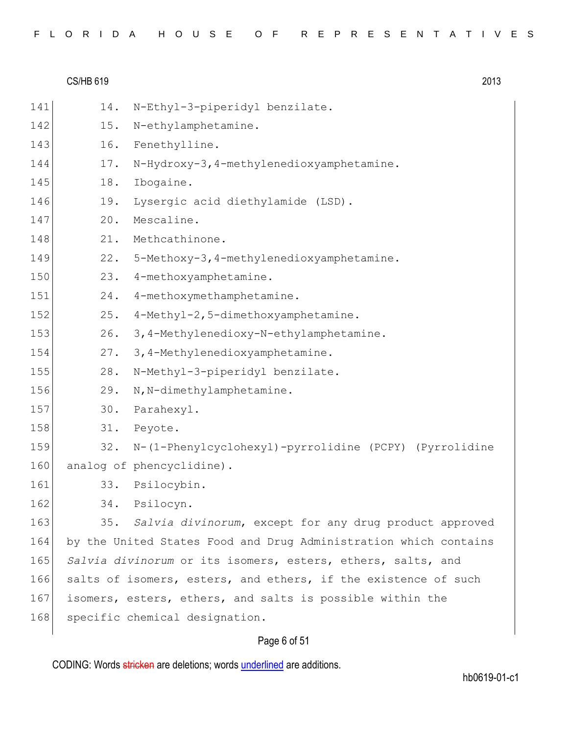|  |  |  |  |  |  | FLORIDA HOUSE OF REPRESENTATIVES |  |  |  |  |  |  |  |  |
|--|--|--|--|--|--|----------------------------------|--|--|--|--|--|--|--|--|
|  |  |  |  |  |  |                                  |  |  |  |  |  |  |  |  |

|     | <b>CS/HB 619</b> |                                                                  | 2013 |
|-----|------------------|------------------------------------------------------------------|------|
| 141 | 14.              | N-Ethyl-3-piperidyl benzilate.                                   |      |
| 142 | 15.              | N-ethylamphetamine.                                              |      |
| 143 | 16.              | Fenethylline.                                                    |      |
| 144 | 17.              | N-Hydroxy-3, 4-methylenedioxyamphetamine.                        |      |
| 145 | 18.              | Ibogaine.                                                        |      |
| 146 | 19.              | Lysergic acid diethylamide (LSD).                                |      |
| 147 | 20.              | Mescaline.                                                       |      |
| 148 | 21.              | Methcathinone.                                                   |      |
| 149 | 22.              | 5-Methoxy-3, 4-methylenedioxyamphetamine.                        |      |
| 150 | 23.              | 4-methoxyamphetamine.                                            |      |
| 151 | 24.              | 4-methoxymethamphetamine.                                        |      |
| 152 | 25.              | 4-Methyl-2,5-dimethoxyamphetamine.                               |      |
| 153 | 26.              | 3, 4-Methylenedioxy-N-ethylamphetamine.                          |      |
| 154 | 27.              | 3, 4-Methylenedioxyamphetamine.                                  |      |
| 155 | 28.              | N-Methyl-3-piperidyl benzilate.                                  |      |
| 156 | 29.              | N, N-dimethylamphetamine.                                        |      |
| 157 | 30.              | Parahexyl.                                                       |      |
| 158 | 31.              | Peyote.                                                          |      |
| 159 | 32.              | N-(1-Phenylcyclohexyl)-pyrrolidine (PCPY) (Pyrrolidine           |      |
| 160 |                  | analog of phencyclidine).                                        |      |
| 161 | 33.              | Psilocybin.                                                      |      |
| 162 | 34.              | Psilocyn.                                                        |      |
| 163 | 35.              | Salvia divinorum, except for any drug product approved           |      |
| 164 |                  | by the United States Food and Drug Administration which contains |      |
| 165 |                  | Salvia divinorum or its isomers, esters, ethers, salts, and      |      |
| 166 |                  | salts of isomers, esters, and ethers, if the existence of such   |      |
| 167 |                  | isomers, esters, ethers, and salts is possible within the        |      |
| 168 |                  | specific chemical designation.                                   |      |

# Page 6 of 51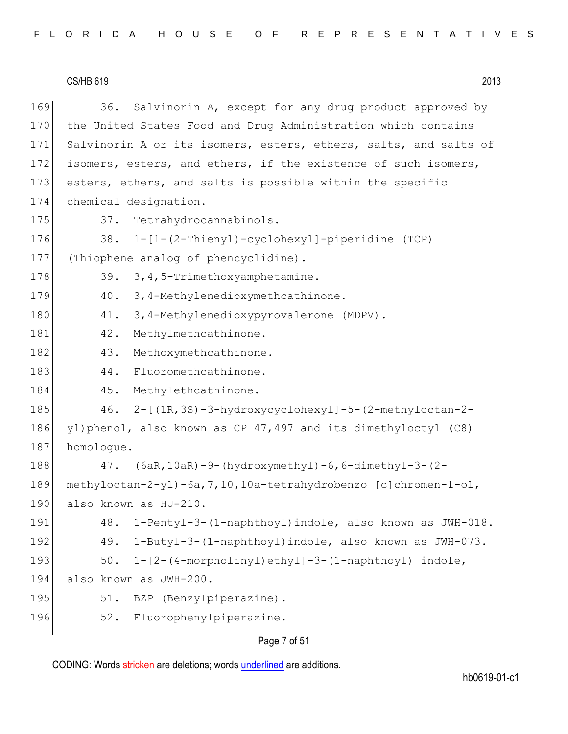169 36. Salvinorin A, except for any drug product approved by 170 the United States Food and Drug Administration which contains 171 Salvinorin A or its isomers, esters, ethers, salts, and salts of 172 isomers, esters, and ethers, if the existence of such isomers, 173 esters, ethers, and salts is possible within the specific 174 chemical designation. 175 37. Tetrahydrocannabinols. 176 38. 1-[1-(2-Thienyl)-cyclohexyl]-piperidine (TCP) 177 (Thiophene analog of phencyclidine). 178 39. 3, 4, 5-Trimethoxyamphetamine. 179 40. 3,4-Methylenedioxymethcathinone. 180 41. 3,4-Methylenedioxypyrovalerone (MDPV). 181 42. Methylmethcathinone. 182 43. Methoxymethcathinone. 183 44. Fluoromethcathinone. 184 45. Methylethcathinone. 185 46. 2-[(1R,3S)-3-hydroxycyclohexyl]-5-(2-methyloctan-2-186 yl)phenol, also known as CP 47,497 and its dimethyloctyl (C8) 187 homoloque. 188 47. (6aR,10aR)-9-(hydroxymethyl)-6,6-dimethyl-3-(2- 189 methyloctan-2-yl)-6a,7,10,10a-tetrahydrobenzo [c]chromen-1-ol, 190 also known as HU-210. 191 48. 1-Pentyl-3-(1-naphthoyl)indole, also known as JWH-018. 192 49. 1-Butyl-3-(1-naphthoyl)indole, also known as JWH-073. 193 50. 1-[2-(4-morpholinyl)ethyl]-3-(1-naphthoyl) indole, 194 also known as JWH-200. 195 51. BZP (Benzylpiperazine). 196 52. Fluorophenylpiperazine.

## Page 7 of 51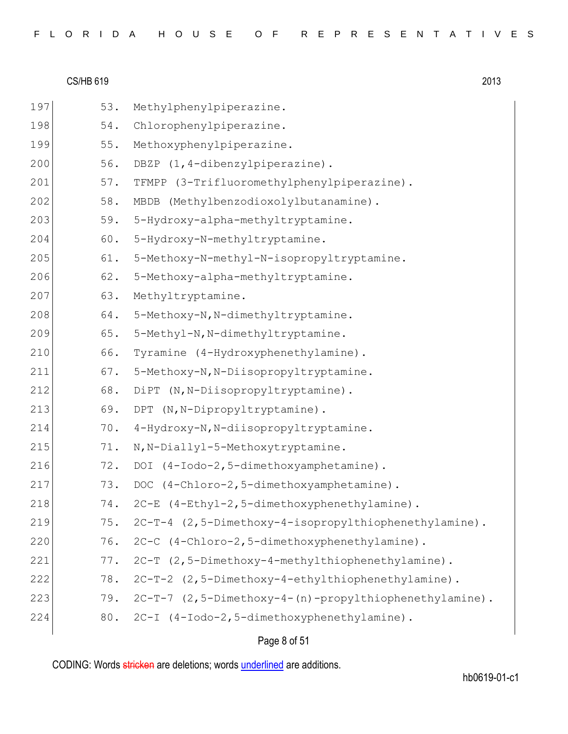|  |  |  | FLORIDA HOUSE OF REPRESENTATIVES |  |  |  |  |  |  |  |  |  |  |  |  |  |
|--|--|--|----------------------------------|--|--|--|--|--|--|--|--|--|--|--|--|--|
|  |  |  |                                  |  |  |  |  |  |  |  |  |  |  |  |  |  |

| 197 | 53. | Methylphenylpiperazine.                                    |
|-----|-----|------------------------------------------------------------|
| 198 | 54. | Chlorophenylpiperazine.                                    |
| 199 | 55. | Methoxyphenylpiperazine.                                   |
| 200 | 56. | DBZP (1,4-dibenzylpiperazine).                             |
| 201 | 57. | TFMPP (3-Trifluoromethylphenylpiperazine).                 |
| 202 | 58. | MBDB (Methylbenzodioxolylbutanamine).                      |
| 203 | 59. | 5-Hydroxy-alpha-methyltryptamine.                          |
| 204 | 60. | 5-Hydroxy-N-methyltryptamine.                              |
| 205 | 61. | 5-Methoxy-N-methyl-N-isopropyltryptamine.                  |
| 206 | 62. | 5-Methoxy-alpha-methyltryptamine.                          |
| 207 | 63. | Methyltryptamine.                                          |
| 208 | 64. | 5-Methoxy-N, N-dimethyltryptamine.                         |
| 209 | 65. | 5-Methyl-N, N-dimethyltryptamine.                          |
| 210 | 66. | Tyramine (4-Hydroxyphenethylamine).                        |
| 211 | 67. | 5-Methoxy-N, N-Diisopropyltryptamine.                      |
| 212 | 68. | DiPT (N, N-Diisopropyltryptamine).                         |
| 213 | 69. | (N, N-Dipropyltryptamine).<br><b>DPT</b>                   |
| 214 | 70. | 4-Hydroxy-N, N-diisopropyltryptamine.                      |
| 215 | 71. | N, N-Diallyl-5-Methoxytryptamine.                          |
| 216 | 72. | (4-Iodo-2,5-dimethoxyamphetamine).<br>DOI                  |
| 217 | 73. | DOC (4-Chloro-2,5-dimethoxyamphetamine).                   |
| 218 | 74. | 2C-E (4-Ethyl-2,5-dimethoxyphenethylamine).                |
| 219 | 75. | 2C-T-4 (2,5-Dimethoxy-4-isopropylthiophenethylamine).      |
| 220 | 76. | 2C-C (4-Chloro-2,5-dimethoxyphenethylamine).               |
| 221 | 77. | 2C-T (2,5-Dimethoxy-4-methylthiophenethylamine).           |
| 222 | 78. | 2C-T-2 (2,5-Dimethoxy-4-ethylthiophenethylamine).          |
| 223 |     | 79. 2C-T-7 (2,5-Dimethoxy-4-(n)-propylthiophenethylamine). |
| 224 |     | 80. 2C-I (4-Iodo-2,5-dimethoxyphenethylamine).             |
|     |     |                                                            |

# Page 8 of 51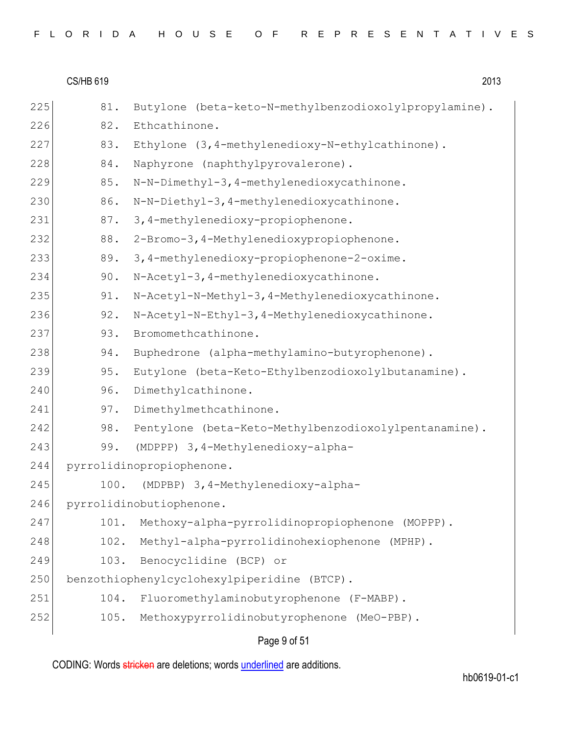|     | <b>CS/HB 619</b> | 2013                                                   |
|-----|------------------|--------------------------------------------------------|
| 225 | 81.              | Butylone (beta-keto-N-methylbenzodioxolylpropylamine). |
| 226 | 82.              | Ethcathinone.                                          |
| 227 | 83.              | Ethylone (3, 4-methylenedioxy-N-ethylcathinone).       |
| 228 | 84.              | Naphyrone (naphthylpyrovalerone).                      |
| 229 | 85.              | N-N-Dimethyl-3, 4-methylenedioxycathinone.             |
| 230 | 86.              | N-N-Diethyl-3, 4-methylenedioxycathinone.              |
| 231 | 87.              | 3,4-methylenedioxy-propiophenone.                      |
| 232 | 88.              | 2-Bromo-3, 4-Methylenedioxypropiophenone.              |
| 233 | 89.              | 3,4-methylenedioxy-propiophenone-2-oxime.              |
| 234 | 90.              | N-Acetyl-3, 4-methylenedioxycathinone.                 |
| 235 | 91.              | N-Acetyl-N-Methyl-3, 4-Methylenedioxycathinone.        |
| 236 | 92.              | N-Acetyl-N-Ethyl-3, 4-Methylenedioxycathinone.         |
| 237 | 93.              | Bromomethcathinone.                                    |
| 238 | 94.              | Buphedrone (alpha-methylamino-butyrophenone).          |
| 239 | 95.              | Eutylone (beta-Keto-Ethylbenzodioxolylbutanamine).     |
| 240 | 96.              | Dimethylcathinone.                                     |
| 241 | 97.              | Dimethylmethcathinone.                                 |
| 242 | 98.              | Pentylone (beta-Keto-Methylbenzodioxolylpentanamine).  |
| 243 | 99.              | (MDPPP) 3, 4-Methylenedioxy-alpha-                     |
| 244 |                  | pyrrolidinopropiophenone.                              |
| 245 | 100.             | (MDPBP) 3, 4-Methylenedioxy-alpha-                     |
| 246 |                  | pyrrolidinobutiophenone.                               |
| 247 | 101.             | Methoxy-alpha-pyrrolidinopropiophenone (MOPPP).        |
| 248 | 102.             | Methyl-alpha-pyrrolidinohexiophenone (MPHP).           |
| 249 | 103.             | Benocyclidine (BCP) or                                 |
| 250 |                  | benzothiophenylcyclohexylpiperidine (BTCP).            |
| 251 | 104.             | Fluoromethylaminobutyrophenone (F-MABP).               |
| 252 | 105.             | Methoxypyrrolidinobutyrophenone (MeO-PBP).             |
|     |                  |                                                        |

Page 9 of 51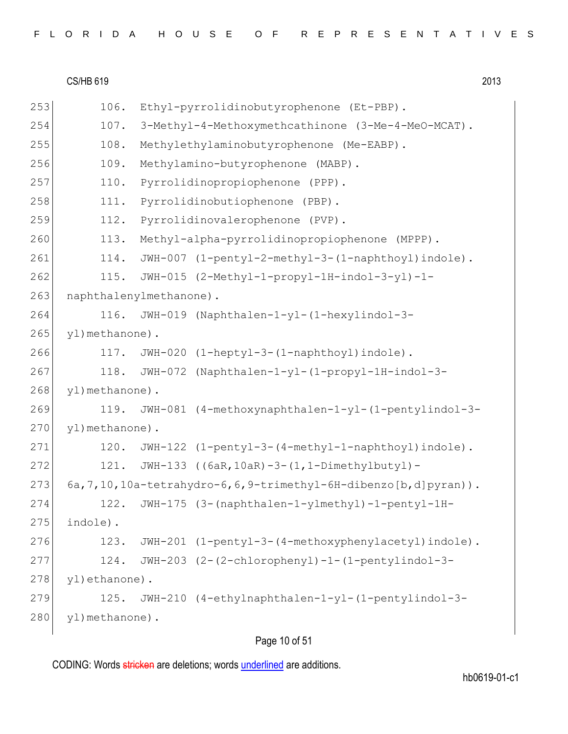| FLORIDA HOUSE OF REPRESENTATIVES |  |
|----------------------------------|--|
|----------------------------------|--|

 $CS/HB 619$  2013 253 106. Ethyl-pyrrolidinobutyrophenone (Et-PBP). 254 107. 3-Methyl-4-Methoxymethcathinone (3-Me-4-MeO-MCAT). 255 108. Methylethylaminobutyrophenone (Me-EABP). 256 109. Methylamino-butyrophenone (MABP). 257 110. Pyrrolidinopropiophenone (PPP). 258 111. Pyrrolidinobutiophenone (PBP). 259 112. Pyrrolidinovalerophenone (PVP). 260 113. Methyl-alpha-pyrrolidinopropiophenone (MPPP). 261 114. JWH-007 (1-pentyl-2-methyl-3-(1-naphthoyl)indole). 262 115. JWH-015 (2-Methyl-1-propyl-1H-indol-3-yl)-1- 263 naphthalenylmethanone). 264 116. JWH-019 (Naphthalen-1-yl-(1-hexylindol-3- 265 yl)methanone). 266 117. JWH-020 (1-heptyl-3-(1-naphthoyl)indole). 267 118. JWH-072 (Naphthalen-1-yl-(1-propyl-1H-indol-3- 268 yl) methanone). 269 119. JWH-081 (4-methoxynaphthalen-1-yl-(1-pentylindol-3- 270 yl) methanone). 271 120. JWH-122 (1-pentyl-3-(4-methyl-1-naphthoyl)indole). 272 121. JWH-133 ((6aR,10aR)-3-(1,1-Dimethylbutyl)- 273  $6a,7,10,10a-tetrahydro-6,6,9-trimethyl-6H-dibenzo[ $b,d$ ]pyran).$ 274 122. JWH-175 (3-(naphthalen-1-ylmethyl)-1-pentyl-1H- $275$  indole). 276 123. JWH-201 (1-pentyl-3-(4-methoxyphenylacetyl)indole). 277 124. JWH-203 (2-(2-chlorophenyl)-1-(1-pentylindol-3- 278 yl)ethanone). 279 125. JWH-210 (4-ethylnaphthalen-1-yl-(1-pentylindol-3- 280 yl) methanone).

# Page 10 of 51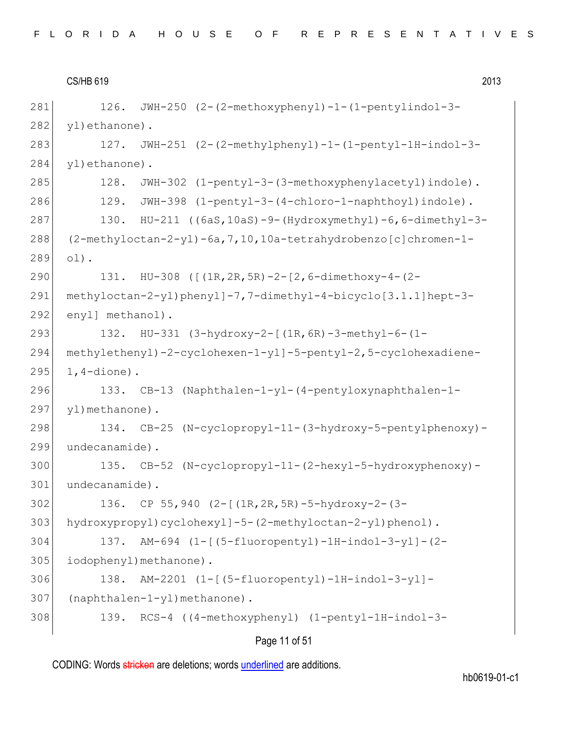126. JWH-250 (2-(2-methoxyphenyl)-1-(1-pentylindol-3- 282 yl)ethanone). 127. JWH-251 (2-(2-methylphenyl)-1-(1-pentyl-1H-indol-3- 284 yl)ethanone). 128. JWH-302 (1-pentyl-3-(3-methoxyphenylacetyl)indole). 286 129. JWH-398 (1-pentyl-3-(4-chloro-1-naphthoyl)indole). 130. HU-211 ((6aS,10aS)-9-(Hydroxymethyl)-6,6-dimethyl-3- (2-methyloctan-2-yl)-6a,7,10,10a-tetrahydrobenzo[c]chromen-1- 289 ol). 131. HU-308 ([(1R,2R,5R)-2-[2,6-dimethoxy-4-(2- methyloctan-2-yl)phenyl]-7,7-dimethyl-4-bicyclo[3.1.1]hept-3- 292 enyl] methanol). 293 132. HU-331 (3-hydroxy-2-[(1R,6R)-3-methyl-6-(1- methylethenyl)-2-cyclohexen-1-yl]-5-pentyl-2,5-cyclohexadiene- 1, 4-dione). 133. CB-13 (Naphthalen-1-yl-(4-pentyloxynaphthalen-1- 297 yl) methanone). 298 134. CB-25 (N-cyclopropyl-11-(3-hydroxy-5-pentylphenoxy)- undecanamide). 135. CB-52 (N-cyclopropyl-11-(2-hexyl-5-hydroxyphenoxy)- undecanamide). 136. CP 55,940 (2-[(1R,2R,5R)-5-hydroxy-2-(3- 303 hydroxypropyl)cyclohexyl]-5-(2-methyloctan-2-yl)phenol). 137. AM-694 (1-[(5-fluoropentyl)-1H-indol-3-yl]-(2- 305 iodophenyl) methanone). 138. AM-2201 (1-[(5-fluoropentyl)-1H-indol-3-yl]- (naphthalen-1-yl)methanone). 139. RCS-4 ((4-methoxyphenyl) (1-pentyl-1H-indol-3-

| Page 11 of 51 |  |  |
|---------------|--|--|
|---------------|--|--|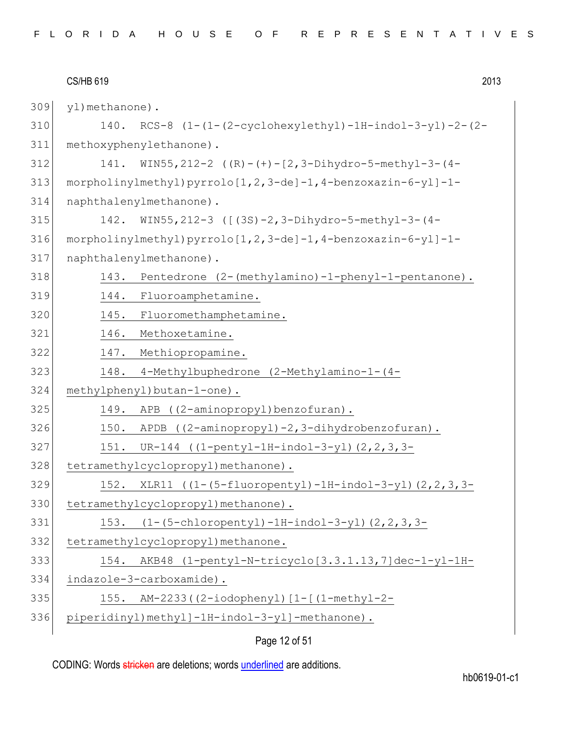|     | 2013<br><b>CS/HB 619</b>                                             |  |
|-----|----------------------------------------------------------------------|--|
| 309 | yl) methanone).                                                      |  |
| 310 | $RCS-8$ $(1-(1-(2-cyclohexylethyl)-1H-indol-3-yl)-2-(2-$<br>140.     |  |
| 311 | methoxyphenylethanone).                                              |  |
| 312 | WIN55, 212-2 ((R)-(+)-[2, 3-Dihydro-5-methyl-3-(4-<br>141.           |  |
| 313 | $morpholinylmethyl) pyrrolo[1,2,3-de]-1,4-benzoxazin-6-yl]-1-$       |  |
| 314 | naphthalenylmethanone).                                              |  |
| 315 | WIN55, 212-3 ([(3S)-2, 3-Dihydro-5-methyl-3-(4-<br>142.              |  |
| 316 | morpholinylmethyl) pyrrolo[1,2,3-de]-1,4-benzoxazin-6-yl]-1-         |  |
| 317 | naphthalenylmethanone).                                              |  |
| 318 | 143.<br>Pentedrone (2-(methylamino)-1-phenyl-1-pentanone).           |  |
| 319 | Fluoroamphetamine.<br>144.                                           |  |
| 320 | 145.<br>Fluoromethamphetamine.                                       |  |
| 321 | 146.<br>Methoxetamine.                                               |  |
| 322 | 147. Methiopropamine.                                                |  |
| 323 | 4-Methylbuphedrone (2-Methylamino-1-(4-<br>148.                      |  |
| 324 | methylphenyl)butan-1-one).                                           |  |
| 325 | 149.<br>((2-aminopropyl)benzofuran).<br>APB                          |  |
| 326 | $APDB$ ((2-aminopropyl)-2,3-dihydrobenzofuran).<br>150.              |  |
| 327 | UR-144 $((1-penty1-1H-indol-3-y1) (2,2,3,3-$<br>151.                 |  |
| 328 | tetramethylcyclopropyl) methanone).                                  |  |
| 329 | 152.<br>XLR11 $((1-(5-fluoropenty1)-1H-indol-3-y1)$ $(2, 2, 3, 3-d)$ |  |
| 330 | tetramethylcyclopropyl) methanone) .                                 |  |
| 331 | $(1-(5-chloropenty1)-1H-indol-3-y1)$ $(2, 2, 3, 3-$<br>153.          |  |
| 332 | tetramethylcyclopropyl) methanone.                                   |  |
| 333 | AKB48 (1-pentyl-N-tricyclo[3.3.1.13,7]dec-1-yl-1H-<br>154.           |  |
| 334 | indazole-3-carboxamide).                                             |  |
| 335 | 155.<br>AM-2233((2-iodophenyl)[1-[(1-methyl-2-                       |  |
| 336 | piperidinyl)methyl]-1H-indol-3-yl]-methanone).                       |  |
|     |                                                                      |  |

# Page 12 of 51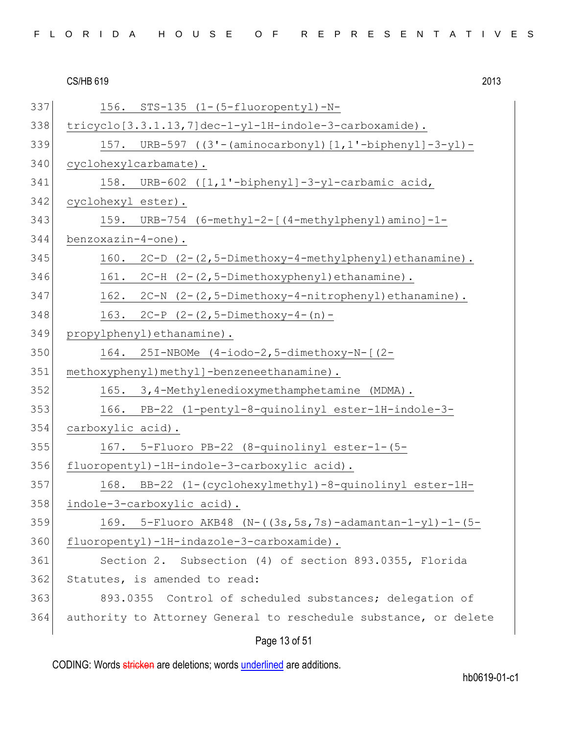| FLORIDA HOUSE OF REPRESENTATIVES |  |
|----------------------------------|--|
|----------------------------------|--|

| 337 | 156. STS-135 (1-(5-fluoropentyl)-N-                               |
|-----|-------------------------------------------------------------------|
| 338 | tricyclo[3.3.1.13,7]dec-1-yl-1H-indole-3-carboxamide).            |
| 339 | 157. URB-597 ((3'-(aminocarbonyl)[1,1'-biphenyl]-3-yl)-           |
| 340 | cyclohexylcarbamate).                                             |
| 341 | 158. URB-602 ([1,1'-biphenyl]-3-yl-carbamic acid,                 |
| 342 | cyclohexyl ester).                                                |
| 343 | 159. URB-754 (6-methyl-2-[(4-methylphenyl)amino]-1-               |
| 344 | $benzoxazin-4-one$ .                                              |
| 345 | 160. 2C-D (2-(2,5-Dimethoxy-4-methylphenyl) ethanamine).          |
| 346 | 161. 2C-H (2-(2,5-Dimethoxyphenyl) ethanamine).                   |
| 347 | 162. 2C-N (2-(2,5-Dimethoxy-4-nitrophenyl) ethanamine).           |
| 348 | 163. $2C-P$ $(2-(2,5-Dimethoxy-4-(n)-$                            |
| 349 | propylphenyl) ethanamine).                                        |
| 350 | 164. 25I-NBOMe (4-iodo-2,5-dimethoxy-N-[(2-                       |
| 351 | methoxyphenyl) methyl]-benzeneethanamine).                        |
| 352 | 165. 3,4-Methylenedioxymethamphetamine (MDMA).                    |
| 353 | 166. PB-22 (1-pentyl-8-quinolinyl ester-1H-indole-3-              |
| 354 | carboxylic acid).                                                 |
| 355 | 167. 5-Fluoro PB-22 (8-quinolinyl ester-1-(5-                     |
| 356 | fluoropentyl)-1H-indole-3-carboxylic acid).                       |
| 357 | 168. BB-22 (1-(cyclohexylmethyl)-8-quinolinyl ester-1H-           |
| 358 | indole-3-carboxylic acid).                                        |
| 359 | 169. 5-Fluoro AKB48 (N- $((3s, 5s, 7s)$ -adamantan-1-yl)-1- $(5-$ |
| 360 | fluoropentyl)-1H-indazole-3-carboxamide).                         |
| 361 | Section 2. Subsection (4) of section 893.0355, Florida            |
| 362 | Statutes, is amended to read:                                     |
| 363 | 893.0355 Control of scheduled substances; delegation of           |
| 364 | authority to Attorney General to reschedule substance, or delete  |
|     |                                                                   |

# Page 13 of 51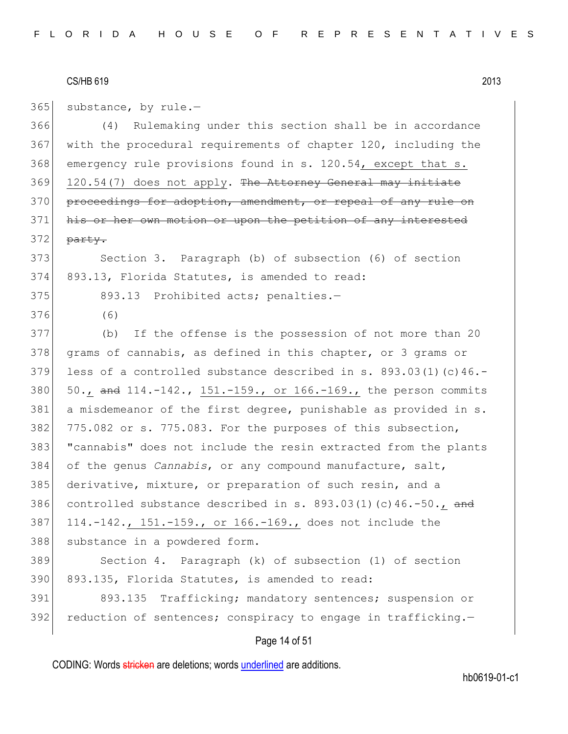$365$  substance, by rule.-

366 (4) Rulemaking under this section shall be in accordance 367 with the procedural requirements of chapter 120, including the 368 emergency rule provisions found in s. 120.54, except that s.  $369$  120.54(7) does not apply. The Attorney General may initiate 370 proceedings for adoption, amendment, or repeal of any rule on 371 his or her own motion or upon the petition of any interested  $372$  party.

373 Section 3. Paragraph (b) of subsection (6) of section 374 893.13, Florida Statutes, is amended to read:

375 893.13 Prohibited acts; penalties.-

376 (6)

377 (b) If the offense is the possession of not more than 20 378 grams of cannabis, as defined in this chapter, or 3 grams or 379 less of a controlled substance described in s.  $893.03(1)(c)46.$ -380  $50.$ , and 114.-142., 151.-159., or 166.-169., the person commits 381 a misdemeanor of the first degree, punishable as provided in s. 382 775.082 or s. 775.083. For the purposes of this subsection, 383 "cannabis" does not include the resin extracted from the plants 384 of the genus *Cannabis*, or any compound manufacture, salt, 385 derivative, mixture, or preparation of such resin, and a 386 controlled substance described in s.  $893.03(1)(c)46.-50$ ., and 387 114.-142., 151.-159., or 166.-169., does not include the 388 substance in a powdered form.

389 Section 4. Paragraph (k) of subsection (1) of section 390 893.135, Florida Statutes, is amended to read:

391 893.135 Trafficking; mandatory sentences; suspension or 392 reduction of sentences; conspiracy to engage in trafficking. $-$ 

## Page 14 of 51

CODING: Words stricken are deletions; words underlined are additions.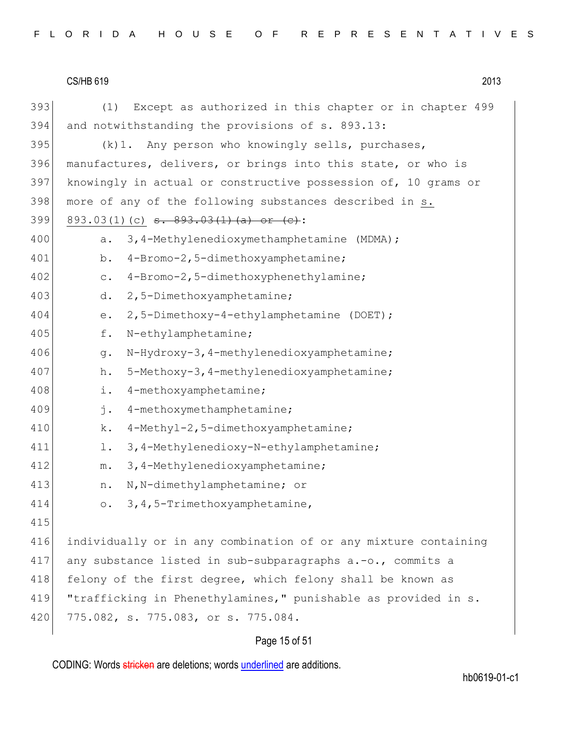| 393 | Except as authorized in this chapter or in chapter 499<br>(1)   |  |  |  |  |  |  |  |  |  |  |  |
|-----|-----------------------------------------------------------------|--|--|--|--|--|--|--|--|--|--|--|
| 394 | and notwithstanding the provisions of s. 893.13:                |  |  |  |  |  |  |  |  |  |  |  |
| 395 | (k) 1. Any person who knowingly sells, purchases,               |  |  |  |  |  |  |  |  |  |  |  |
| 396 | manufactures, delivers, or brings into this state, or who is    |  |  |  |  |  |  |  |  |  |  |  |
| 397 | knowingly in actual or constructive possession of, 10 grams or  |  |  |  |  |  |  |  |  |  |  |  |
| 398 | more of any of the following substances described in s.         |  |  |  |  |  |  |  |  |  |  |  |
| 399 | 893.03(1)(c) $s. 893.03(1)(a)$ or $(c)$ :                       |  |  |  |  |  |  |  |  |  |  |  |
| 400 | 3,4-Methylenedioxymethamphetamine (MDMA);<br>a.                 |  |  |  |  |  |  |  |  |  |  |  |
| 401 | 4-Bromo-2,5-dimethoxyamphetamine;<br>b.                         |  |  |  |  |  |  |  |  |  |  |  |
| 402 | 4-Bromo-2,5-dimethoxyphenethylamine;<br>$\mathtt{C}$ .          |  |  |  |  |  |  |  |  |  |  |  |
| 403 | 2,5-Dimethoxyamphetamine;<br>d.                                 |  |  |  |  |  |  |  |  |  |  |  |
| 404 | 2,5-Dimethoxy-4-ethylamphetamine (DOET);<br>е.                  |  |  |  |  |  |  |  |  |  |  |  |
| 405 | N-ethylamphetamine;<br>f.                                       |  |  |  |  |  |  |  |  |  |  |  |
| 406 | N-Hydroxy-3, 4-methylenedioxyamphetamine;<br>$g$ .              |  |  |  |  |  |  |  |  |  |  |  |
| 407 | 5-Methoxy-3, 4-methylenedioxyamphetamine;<br>h.                 |  |  |  |  |  |  |  |  |  |  |  |
| 408 | 4-methoxyamphetamine;<br>i.                                     |  |  |  |  |  |  |  |  |  |  |  |
| 409 | j.<br>4-methoxymethamphetamine;                                 |  |  |  |  |  |  |  |  |  |  |  |
| 410 | 4-Methyl-2,5-dimethoxyamphetamine;<br>k.                        |  |  |  |  |  |  |  |  |  |  |  |
| 411 | 3, 4-Methylenedioxy-N-ethylamphetamine;<br>$1$ .                |  |  |  |  |  |  |  |  |  |  |  |
| 412 | 3, 4-Methylenedioxyamphetamine;<br>$m$ .                        |  |  |  |  |  |  |  |  |  |  |  |
| 413 | N, N-dimethylamphetamine; or<br>n.                              |  |  |  |  |  |  |  |  |  |  |  |
| 414 | 3, 4, 5-Trimethoxyamphetamine,<br>$\circ$ .                     |  |  |  |  |  |  |  |  |  |  |  |
| 415 |                                                                 |  |  |  |  |  |  |  |  |  |  |  |
| 416 | individually or in any combination of or any mixture containing |  |  |  |  |  |  |  |  |  |  |  |
| 417 | any substance listed in sub-subparagraphs a.-o., commits a      |  |  |  |  |  |  |  |  |  |  |  |
| 418 | felony of the first degree, which felony shall be known as      |  |  |  |  |  |  |  |  |  |  |  |
| 419 | "trafficking in Phenethylamines," punishable as provided in s.  |  |  |  |  |  |  |  |  |  |  |  |
| 420 | 775.082, s. 775.083, or s. 775.084.                             |  |  |  |  |  |  |  |  |  |  |  |
|     |                                                                 |  |  |  |  |  |  |  |  |  |  |  |

# Page 15 of 51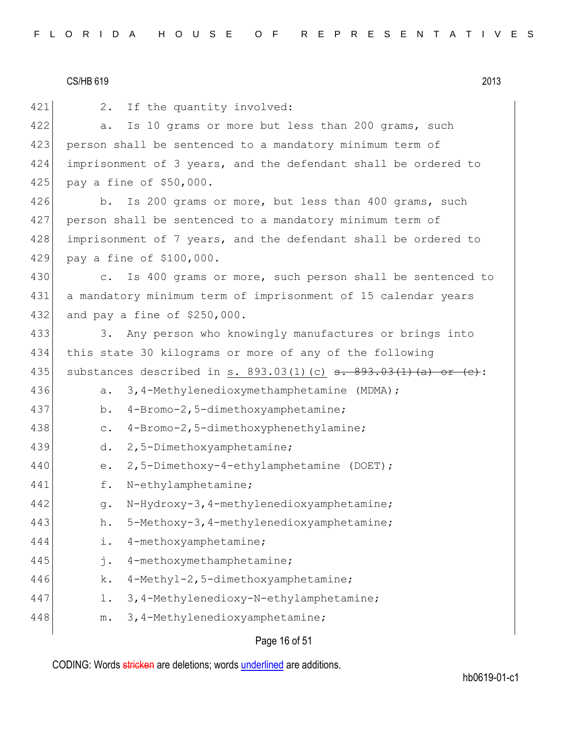421 2. If the quantity involved: 422 a. Is 10 grams or more but less than 200 grams, such 423 person shall be sentenced to a mandatory minimum term of 424 imprisonment of 3 years, and the defendant shall be ordered to 425 pay a fine of \$50,000. 426 b. Is 200 grams or more, but less than 400 grams, such 427 person shall be sentenced to a mandatory minimum term of 428 imprisonment of 7 years, and the defendant shall be ordered to 429 pay a fine of \$100,000. 430 c. Is 400 grams or more, such person shall be sentenced to 431 a mandatory minimum term of imprisonment of 15 calendar years 432 and pay a fine of \$250,000. 433 3. Any person who knowingly manufactures or brings into 434 this state 30 kilograms or more of any of the following 435 substances described in s. 893.03(1)(c) s. 893.03(1)(a) or (c): 436 a. 3,4-Methylenedioxymethamphetamine (MDMA); 437 b. 4-Bromo-2,5-dimethoxyamphetamine; 438 c. 4-Bromo-2,5-dimethoxyphenethylamine; 439 d. 2,5-Dimethoxyamphetamine; 440 e. 2,5-Dimethoxy-4-ethylamphetamine (DOET); 441 f. N-ethylamphetamine; 442 g. N-Hydroxy-3,4-methylenedioxyamphetamine; 443 h. 5-Methoxy-3,4-methylenedioxyamphetamine; 444 i. 4-methoxyamphetamine; 445 j. 4-methoxymethamphetamine; 446 k. 4-Methyl-2,5-dimethoxyamphetamine; 447 l. 3,4-Methylenedioxy-N-ethylamphetamine; 448 m. 3,4-Methylenedioxyamphetamine;

Page 16 of 51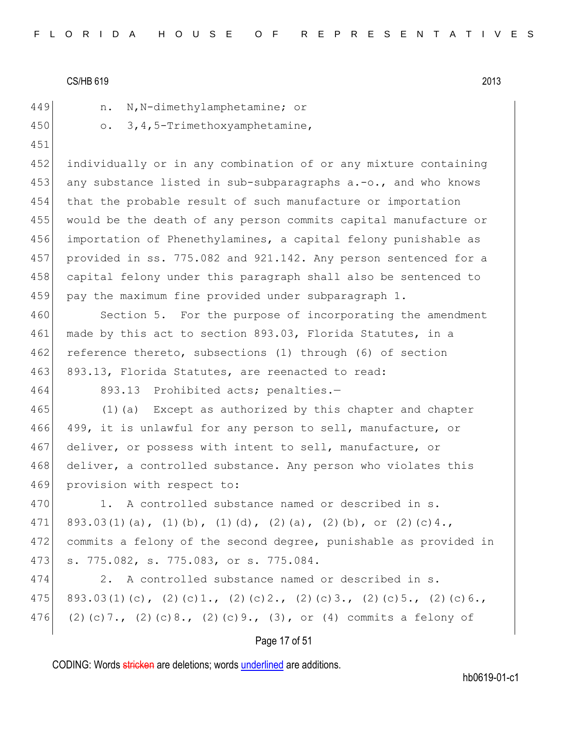|  | - |  |
|--|---|--|
|  |   |  |
|  |   |  |

449 n. N, N-dimethylamphetamine; or

450 o. 3,4,5-Trimethoxyamphetamine,

451

 individually or in any combination of or any mixture containing any substance listed in sub-subparagraphs a.-o., and who knows that the probable result of such manufacture or importation would be the death of any person commits capital manufacture or importation of Phenethylamines, a capital felony punishable as provided in ss. 775.082 and 921.142. Any person sentenced for a capital felony under this paragraph shall also be sentenced to 459 pay the maximum fine provided under subparagraph 1.

460 Section 5. For the purpose of incorporating the amendment 461 made by this act to section 893.03, Florida Statutes, in a 462 reference thereto, subsections (1) through (6) of section 463 893.13, Florida Statutes, are reenacted to read:

464 893.13 Prohibited acts; penalties.-

465 (1)(a) Except as authorized by this chapter and chapter 466 499, it is unlawful for any person to sell, manufacture, or 467 deliver, or possess with intent to sell, manufacture, or 468 deliver, a controlled substance. Any person who violates this 469 provision with respect to:

470 1. A controlled substance named or described in s. 471 893.03(1)(a), (1)(b), (1)(d), (2)(a), (2)(b), or (2)(c)4., 472 commits a felony of the second degree, punishable as provided in 473 s. 775.082, s. 775.083, or s. 775.084.

474 2. A controlled substance named or described in s. 475 893.03(1)(c), (2)(c)1., (2)(c)2., (2)(c)3., (2)(c)5., (2)(c)6., 476 (2)(c)7., (2)(c)8., (2)(c)9., (3), or (4) commits a felony of

## Page 17 of 51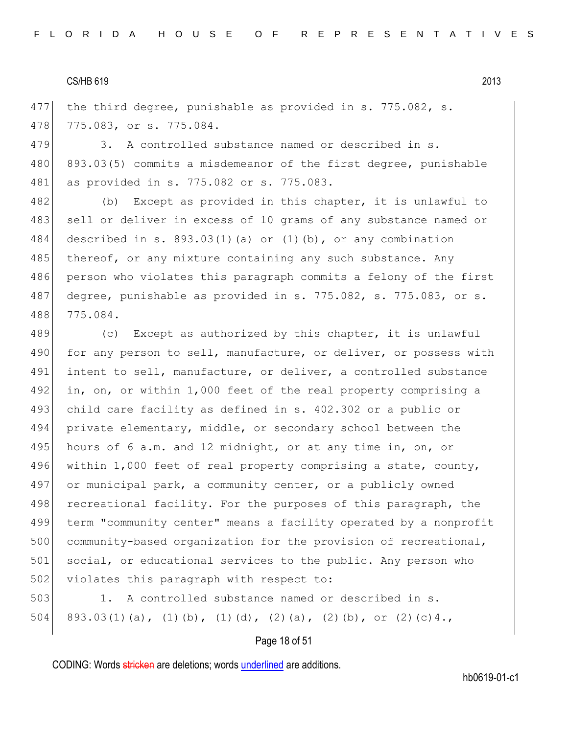477 the third degree, punishable as provided in s. 775.082, s. 478 775.083, or s. 775.084.

479 3. A controlled substance named or described in s. 480 893.03(5) commits a misdemeanor of the first degree, punishable 481 as provided in s. 775.082 or s. 775.083.

482 (b) Except as provided in this chapter, it is unlawful to 483 sell or deliver in excess of 10 grams of any substance named or 484 described in s. 893.03(1)(a) or (1)(b), or any combination 485 thereof, or any mixture containing any such substance. Any 486 person who violates this paragraph commits a felony of the first 487 degree, punishable as provided in s. 775.082, s. 775.083, or s. 488 775.084.

489 (c) Except as authorized by this chapter, it is unlawful 490 for any person to sell, manufacture, or deliver, or possess with 491 intent to sell, manufacture, or deliver, a controlled substance 492 in, on, or within 1,000 feet of the real property comprising a 493 child care facility as defined in s. 402.302 or a public or 494 private elementary, middle, or secondary school between the 495 hours of 6 a.m. and 12 midnight, or at any time in, on, or 496 within 1,000 feet of real property comprising a state, county, 497 or municipal park, a community center, or a publicly owned 498 recreational facility. For the purposes of this paragraph, the 499 term "community center" means a facility operated by a nonprofit 500 community-based organization for the provision of recreational, 501 social, or educational services to the public. Any person who 502 violates this paragraph with respect to:

503 1. A controlled substance named or described in s. 504 893.03(1)(a), (1)(b), (1)(d), (2)(a), (2)(b), or (2)(c)4.,

## Page 18 of 51

CODING: Words stricken are deletions; words underlined are additions.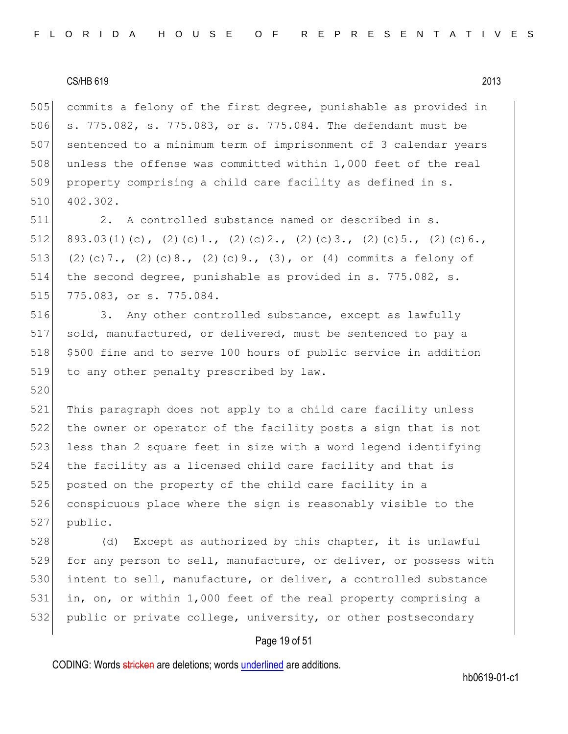520

505 commits a felony of the first degree, punishable as provided in 506 s. 775.082, s. 775.083, or s. 775.084. The defendant must be 507 sentenced to a minimum term of imprisonment of 3 calendar years 508 unless the offense was committed within 1,000 feet of the real 509 property comprising a child care facility as defined in s. 510 402.302.

511 2. A controlled substance named or described in s. 512 893.03(1)(c), (2)(c)1., (2)(c)2., (2)(c)3., (2)(c)5., (2)(c)6., 513 (2)(c)7., (2)(c)8., (2)(c)9., (3), or (4) commits a felony of 514 the second degree, punishable as provided in s. 775.082, s. 515 775.083, or s. 775.084.

516 3. Any other controlled substance, except as lawfully 517 sold, manufactured, or delivered, must be sentenced to pay a 518 \$500 fine and to serve 100 hours of public service in addition 519 to any other penalty prescribed by law.

 This paragraph does not apply to a child care facility unless the owner or operator of the facility posts a sign that is not 523 less than 2 square feet in size with a word legend identifying the facility as a licensed child care facility and that is posted on the property of the child care facility in a conspicuous place where the sign is reasonably visible to the 527 public.

528 (d) Except as authorized by this chapter, it is unlawful 529 for any person to sell, manufacture, or deliver, or possess with 530 intent to sell, manufacture, or deliver, a controlled substance 531 in, on, or within 1,000 feet of the real property comprising a 532 public or private college, university, or other postsecondary

## Page 19 of 51

CODING: Words stricken are deletions; words underlined are additions.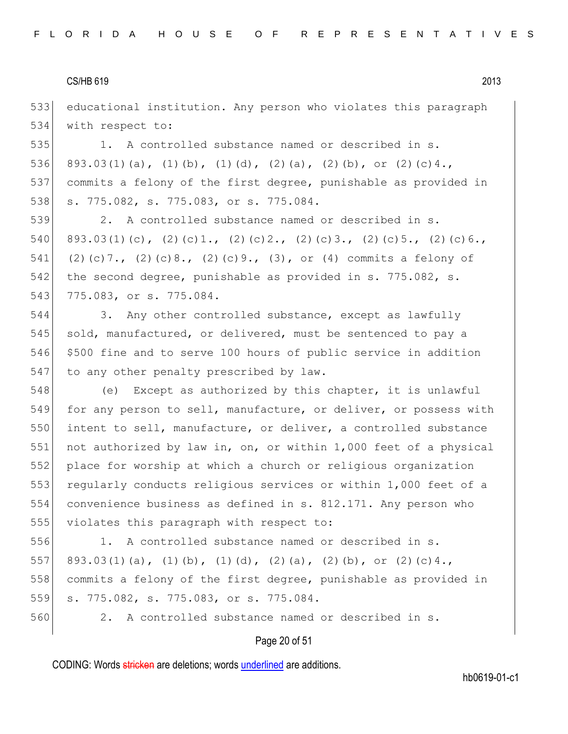533 educational institution. Any person who violates this paragraph 534 with respect to:

535 1. A controlled substance named or described in s. 536 893.03(1)(a), (1)(b), (1)(d), (2)(a), (2)(b), or (2)(c)4., 537 commits a felony of the first degree, punishable as provided in 538 s. 775.082, s. 775.083, or s. 775.084.

539 2. A controlled substance named or described in s. 540 893.03(1)(c), (2)(c)1., (2)(c)2., (2)(c)3., (2)(c)5., (2)(c)6., 541 (2)(c)7., (2)(c)8., (2)(c)9., (3), or (4) commits a felony of 542 the second degree, punishable as provided in s. 775.082, s. 543 775.083, or s. 775.084.

544 3. Any other controlled substance, except as lawfully 545 sold, manufactured, or delivered, must be sentenced to pay a 546 \$500 fine and to serve 100 hours of public service in addition 547 to any other penalty prescribed by law.

548 (e) Except as authorized by this chapter, it is unlawful 549 for any person to sell, manufacture, or deliver, or possess with 550 intent to sell, manufacture, or deliver, a controlled substance 551 not authorized by law in, on, or within 1,000 feet of a physical 552 place for worship at which a church or religious organization 553 regularly conducts religious services or within 1,000 feet of a 554 convenience business as defined in s. 812.171. Any person who 555 violates this paragraph with respect to:

 1. A controlled substance named or described in s. 557 893.03(1)(a), (1)(b), (1)(d), (2)(a), (2)(b), or (2)(c)4., commits a felony of the first degree, punishable as provided in s. 775.082, s. 775.083, or s. 775.084.

560 2. A controlled substance named or described in s.

## Page 20 of 51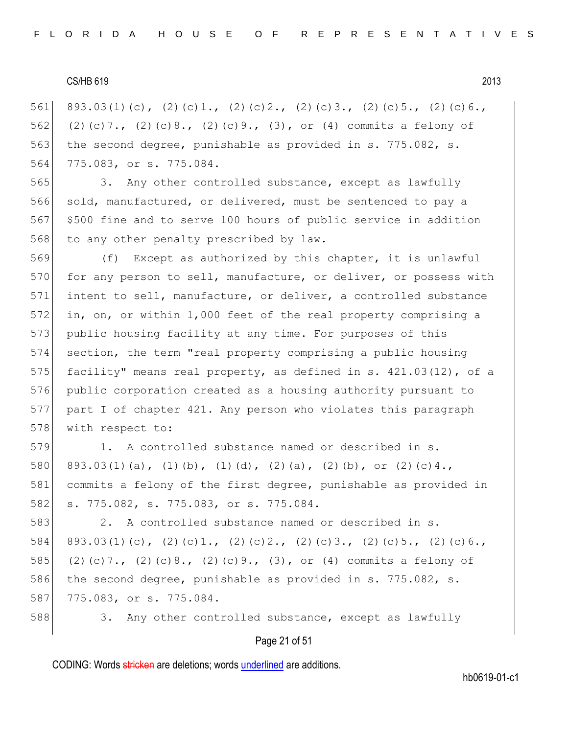561 893.03(1)(c), (2)(c)1., (2)(c)2., (2)(c)3., (2)(c)5., (2)(c)6., 562 (2)(c)7., (2)(c)8., (2)(c)9., (3), or (4) commits a felony of 563 the second degree, punishable as provided in s. 775.082, s. 564 775.083, or s. 775.084.

565 3. Any other controlled substance, except as lawfully 566 sold, manufactured, or delivered, must be sentenced to pay a 567 |\$500 fine and to serve 100 hours of public service in addition 568 to any other penalty prescribed by law.

569 (f) Except as authorized by this chapter, it is unlawful 570 for any person to sell, manufacture, or deliver, or possess with 571 intent to sell, manufacture, or deliver, a controlled substance 572 in, on, or within 1,000 feet of the real property comprising a 573 public housing facility at any time. For purposes of this 574 section, the term "real property comprising a public housing 575 facility" means real property, as defined in s.  $421.03(12)$ , of a 576 public corporation created as a housing authority pursuant to 577 part I of chapter 421. Any person who violates this paragraph 578 with respect to:

579 1. A controlled substance named or described in s. 580 893.03(1)(a), (1)(b), (1)(d), (2)(a), (2)(b), or (2)(c)4., 581 commits a felony of the first degree, punishable as provided in 582 s. 775.082, s. 775.083, or s. 775.084.

583 2. A controlled substance named or described in s. 584 893.03(1)(c), (2)(c)1., (2)(c)2., (2)(c)3., (2)(c)5., (2)(c)6., 585 (2)(c)7., (2)(c)8., (2)(c)9., (3), or (4) commits a felony of 586 the second degree, punishable as provided in s. 775.082, s. 587 775.083, or s. 775.084.

588 3. Any other controlled substance, except as lawfully

## Page 21 of 51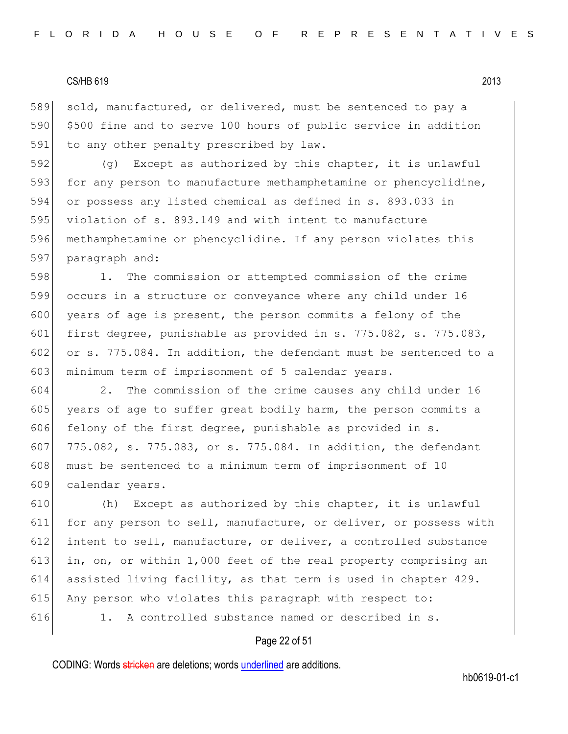589 sold, manufactured, or delivered, must be sentenced to pay a 590 \$500 fine and to serve 100 hours of public service in addition 591 to any other penalty prescribed by law.

 (g) Except as authorized by this chapter, it is unlawful 593 for any person to manufacture methamphetamine or phencyclidine, or possess any listed chemical as defined in s. 893.033 in 595 violation of s. 893.149 and with intent to manufacture methamphetamine or phencyclidine. If any person violates this paragraph and:

 1. The commission or attempted commission of the crime occurs in a structure or conveyance where any child under 16 600 years of age is present, the person commits a felony of the first degree, punishable as provided in s. 775.082, s. 775.083, 602 or s. 775.084. In addition, the defendant must be sentenced to a minimum term of imprisonment of 5 calendar years.

604 2. The commission of the crime causes any child under 16 605 years of age to suffer great bodily harm, the person commits a 606 felony of the first degree, punishable as provided in  $s$ . 607 775.082, s. 775.083, or s. 775.084. In addition, the defendant 608 must be sentenced to a minimum term of imprisonment of 10 609 calendar years.

610 (h) Except as authorized by this chapter, it is unlawful 611 for any person to sell, manufacture, or deliver, or possess with 612 intent to sell, manufacture, or deliver, a controlled substance 613 in, on, or within 1,000 feet of the real property comprising an 614 assisted living facility, as that term is used in chapter 429. 615 Any person who violates this paragraph with respect to: 616 1. A controlled substance named or described in s.

## Page 22 of 51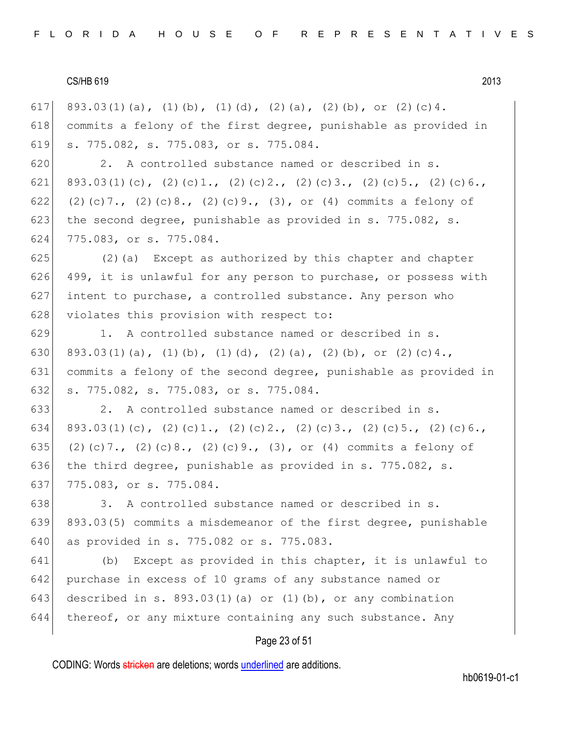617 893.03(1)(a), (1)(b), (1)(d), (2)(a), (2)(b), or (2)(c)4. 618 commits a felony of the first degree, punishable as provided in 619 s. 775.082, s. 775.083, or s. 775.084. 620 2. A controlled substance named or described in s. 621 893.03(1)(c), (2)(c)1., (2)(c)2., (2)(c)3., (2)(c)5., (2)(c)6., 622 (2)(c)7., (2)(c)8., (2)(c)9., (3), or (4) commits a felony of 623 the second degree, punishable as provided in s. 775.082, s. 624 775.083, or s. 775.084.  $625$  (2)(a) Except as authorized by this chapter and chapter 626 499, it is unlawful for any person to purchase, or possess with  $627$  intent to purchase, a controlled substance. Any person who 628 violates this provision with respect to: 629 1. A controlled substance named or described in s. 630 893.03(1)(a), (1)(b), (1)(d), (2)(a), (2)(b), or (2)(c)4., 631 commits a felony of the second degree, punishable as provided in 632 s. 775.082, s. 775.083, or s. 775.084. 633 2. A controlled substance named or described in s. 634 893.03(1)(c), (2)(c)1., (2)(c)2., (2)(c)3., (2)(c)5., (2)(c)6., 635 (2)(c)7., (2)(c)8., (2)(c)9., (3), or (4) commits a felony of 636 the third degree, punishable as provided in s. 775.082, s. 637 775.083, or s. 775.084. 638 3. A controlled substance named or described in s. 639 893.03(5) commits a misdemeanor of the first degree, punishable 640 as provided in s. 775.082 or s. 775.083. 641 (b) Except as provided in this chapter, it is unlawful to 642 purchase in excess of 10 grams of any substance named or 643 described in s.  $893.03(1)(a)$  or  $(1)(b)$ , or any combination  $644$  thereof, or any mixture containing any such substance. Any

## Page 23 of 51

CODING: Words stricken are deletions; words underlined are additions.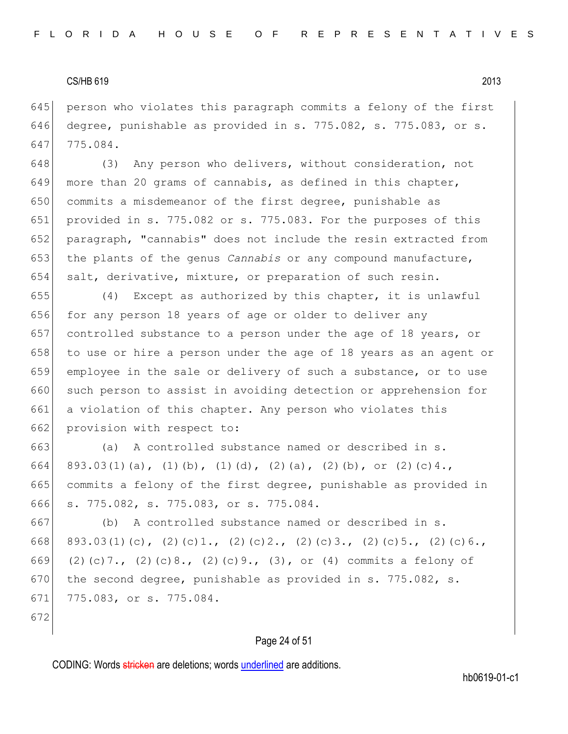645 person who violates this paragraph commits a felony of the first 646 degree, punishable as provided in s. 775.082, s. 775.083, or s. 647 775.084.

648 (3) Any person who delivers, without consideration, not 649 more than 20 grams of cannabis, as defined in this chapter, commits a misdemeanor of the first degree, punishable as provided in s. 775.082 or s. 775.083. For the purposes of this paragraph, "cannabis" does not include the resin extracted from the plants of the genus *Cannabis* or any compound manufacture, salt, derivative, mixture, or preparation of such resin.

655  $(4)$  Except as authorized by this chapter, it is unlawful 656 for any person 18 years of age or older to deliver any 657 controlled substance to a person under the age of 18 years, or 658 to use or hire a person under the age of 18 years as an agent or 659 employee in the sale or delivery of such a substance, or to use 660 such person to assist in avoiding detection or apprehension for 661 a violation of this chapter. Any person who violates this 662 provision with respect to:

 (a) A controlled substance named or described in s. 664 893.03(1)(a), (1)(b), (1)(d), (2)(a), (2)(b), or (2)(c)4., commits a felony of the first degree, punishable as provided in s. 775.082, s. 775.083, or s. 775.084.

667 (b) A controlled substance named or described in s. 668 893.03(1)(c), (2)(c)1., (2)(c)2., (2)(c)3., (2)(c)5., (2)(c)6., 669 (2)(c)7., (2)(c)8., (2)(c)9., (3), or (4) commits a felony of 670 the second degree, punishable as provided in s. 775.082, s. 671 775.083, or s. 775.084.

672

## Page 24 of 51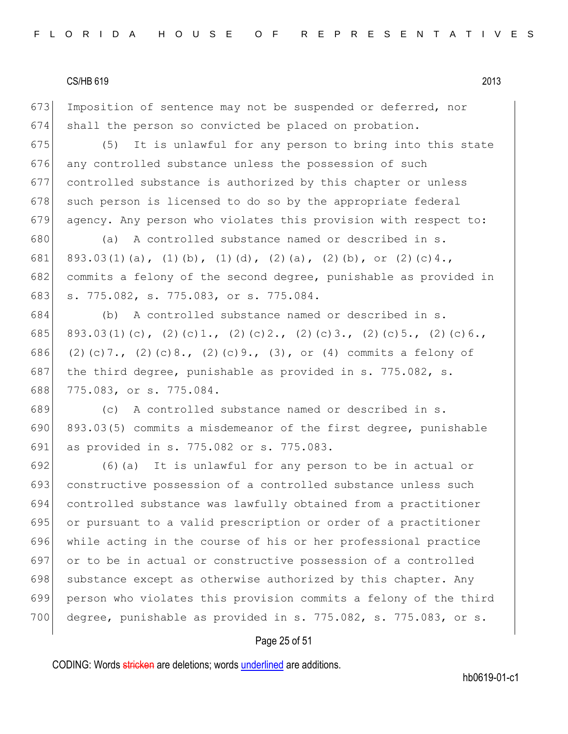673 Imposition of sentence may not be suspended or deferred, nor 674 shall the person so convicted be placed on probation.

 (5) It is unlawful for any person to bring into this state 676 any controlled substance unless the possession of such controlled substance is authorized by this chapter or unless such person is licensed to do so by the appropriate federal agency. Any person who violates this provision with respect to:

680 (a) A controlled substance named or described in s. 681 893.03(1)(a), (1)(b), (1)(d), (2)(a), (2)(b), or (2)(c)4., 682 commits a felony of the second degree, punishable as provided in 683 s. 775.082, s. 775.083, or s. 775.084.

684 (b) A controlled substance named or described in s. 685 893.03(1)(c), (2)(c)1., (2)(c)2., (2)(c)3., (2)(c)5., (2)(c)6., 686 (2)(c)7., (2)(c)8., (2)(c)9., (3), or (4) commits a felony of 687 the third degree, punishable as provided in s. 775.082, s. 688 775.083, or s. 775.084.

689 (c) A controlled substance named or described in s. 690 893.03(5) commits a misdemeanor of the first degree, punishable 691 as provided in s. 775.082 or s. 775.083.

 (6)(a) It is unlawful for any person to be in actual or constructive possession of a controlled substance unless such controlled substance was lawfully obtained from a practitioner or pursuant to a valid prescription or order of a practitioner while acting in the course of his or her professional practice or to be in actual or constructive possession of a controlled 698 substance except as otherwise authorized by this chapter. Any person who violates this provision commits a felony of the third 700 degree, punishable as provided in s. 775.082, s. 775.083, or s.

## Page 25 of 51

CODING: Words stricken are deletions; words underlined are additions.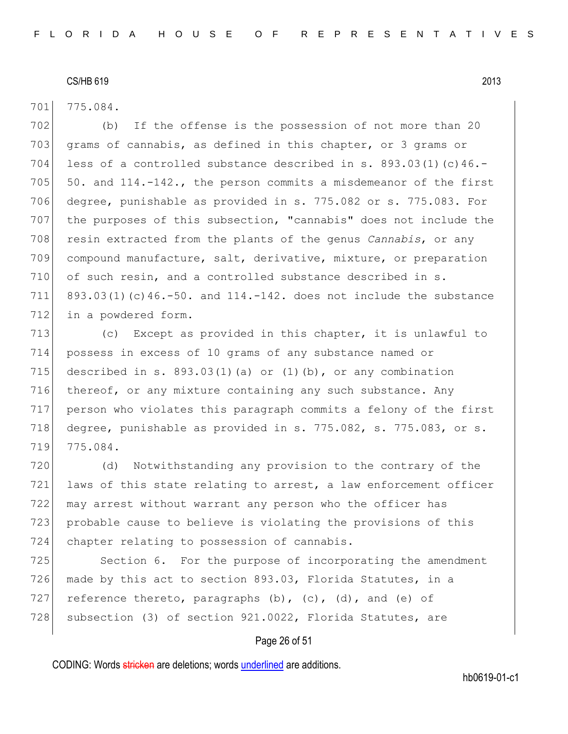701 775.084.

702 (b) If the offense is the possession of not more than 20 703 grams of cannabis, as defined in this chapter, or 3 grams or 704 less of a controlled substance described in s.  $893.03(1)(c)46.$ -705  $\vert$  50. and 114.-142., the person commits a misdemeanor of the first 706 degree, punishable as provided in s. 775.082 or s. 775.083. For 707 the purposes of this subsection, "cannabis" does not include the 708 resin extracted from the plants of the genus *Cannabis*, or any 709 compound manufacture, salt, derivative, mixture, or preparation 710 of such resin, and a controlled substance described in s. 711 893.03(1)(c)46.-50. and 114.-142. does not include the substance 712 in a powdered form.

713 (c) Except as provided in this chapter, it is unlawful to 714 possess in excess of 10 grams of any substance named or 715 described in s.  $893.03(1)(a)$  or  $(1)(b)$ , or any combination 716 thereof, or any mixture containing any such substance. Any 717 person who violates this paragraph commits a felony of the first 718 degree, punishable as provided in s. 775.082, s. 775.083, or s. 719 775.084.

720 (d) Notwithstanding any provision to the contrary of the  $721$  laws of this state relating to arrest, a law enforcement officer 722 may arrest without warrant any person who the officer has 723 probable cause to believe is violating the provisions of this 724 chapter relating to possession of cannabis.

725 Section 6. For the purpose of incorporating the amendment 726 made by this act to section  $893.03$ , Florida Statutes, in a 727 reference thereto, paragraphs  $(b)$ ,  $(c)$ ,  $(d)$ , and  $(e)$  of 728 subsection (3) of section 921.0022, Florida Statutes, are

## Page 26 of 51

CODING: Words stricken are deletions; words underlined are additions.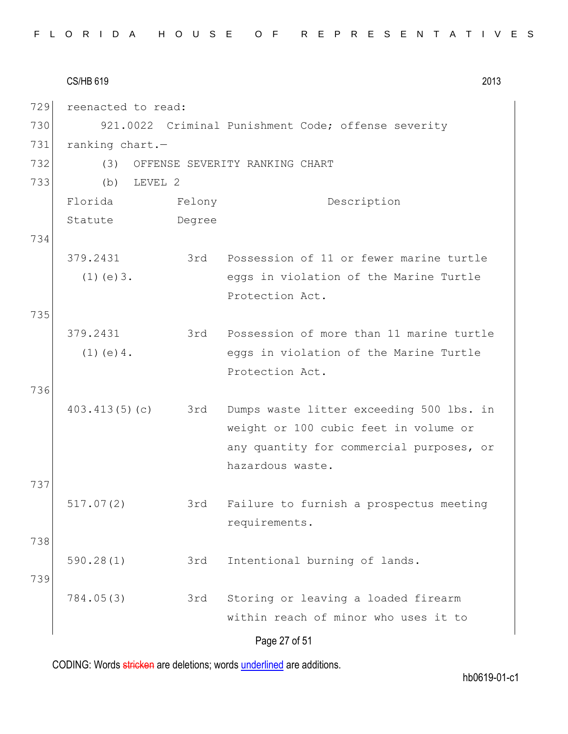|     | <b>CS/HB 619</b>   |        | 2013                                                |
|-----|--------------------|--------|-----------------------------------------------------|
| 729 | reenacted to read: |        |                                                     |
| 730 |                    |        | 921.0022 Criminal Punishment Code; offense severity |
| 731 | ranking chart.-    |        |                                                     |
| 732 | (3)                |        | OFFENSE SEVERITY RANKING CHART                      |
| 733 | LEVEL 2<br>(b)     |        |                                                     |
|     | Florida            | Felony | Description                                         |
|     | Statute            | Degree |                                                     |
| 734 |                    |        |                                                     |
|     | 379.2431           | 3rd    | Possession of 11 or fewer marine turtle             |
|     | $(1)$ (e) $3$ .    |        | eggs in violation of the Marine Turtle              |
|     |                    |        | Protection Act.                                     |
| 735 |                    |        |                                                     |
|     | 379.2431           |        | 3rd Possession of more than 11 marine turtle        |
|     | $(1)$ (e) 4.       |        | eggs in violation of the Marine Turtle              |
|     |                    |        | Protection Act.                                     |
| 736 |                    |        |                                                     |
|     | 403.413(5)(c)      | 3rd    | Dumps waste litter exceeding 500 lbs. in            |
|     |                    |        | weight or 100 cubic feet in volume or               |
|     |                    |        | any quantity for commercial purposes, or            |
|     |                    |        | hazardous waste.                                    |
| 737 |                    |        |                                                     |
|     | 517.07(2)          | 3rd    | Failure to furnish a prospectus meeting             |
|     |                    |        | requirements.                                       |
| 738 |                    |        |                                                     |
|     | 590.28(1)          | 3rd    | Intentional burning of lands.                       |
| 739 |                    |        |                                                     |
|     | 784.05(3)          | 3rd    | Storing or leaving a loaded firearm                 |
|     |                    |        | within reach of minor who uses it to                |
|     |                    |        | Page 27 of 51                                       |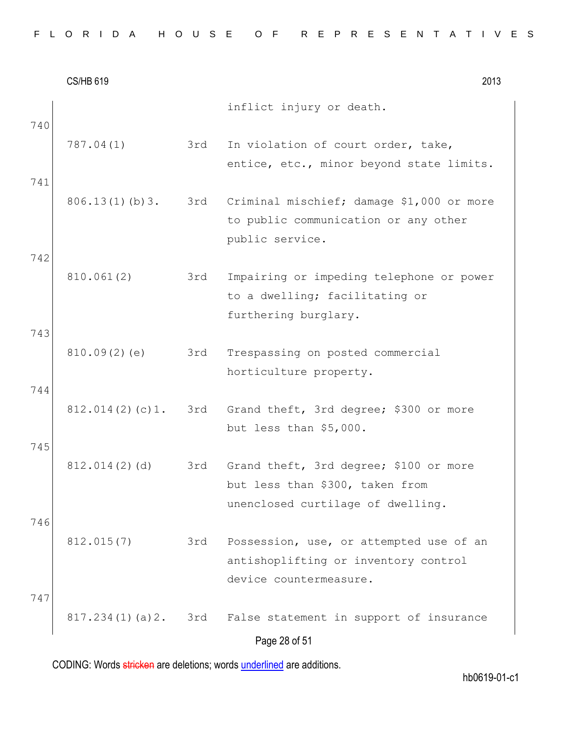|  |  | FLORIDA HOUSE OF REPRESENTATIVES |
|--|--|----------------------------------|
|--|--|----------------------------------|

|            | <b>CS/HB 619</b> |     | 2013                                                                                                           |
|------------|------------------|-----|----------------------------------------------------------------------------------------------------------------|
| 740        |                  |     | inflict injury or death.                                                                                       |
|            | 787.04(1)        | 3rd | In violation of court order, take,<br>entice, etc., minor beyond state limits.                                 |
| 741        | 806.13(1)(b)3.   | 3rd | Criminal mischief; damage \$1,000 or more<br>to public communication or any other<br>public service.           |
| 742        | 810.061(2)       | 3rd | Impairing or impeding telephone or power<br>to a dwelling; facilitating or<br>furthering burglary.             |
| 743<br>744 | 810.09(2)(e)     | 3rd | Trespassing on posted commercial<br>horticulture property.                                                     |
|            | 812.014(2)(c)1.  |     | 3rd Grand theft, 3rd degree; \$300 or more<br>but less than \$5,000.                                           |
| 745        | 812.014(2)(d)    | 3rd | Grand theft, 3rd degree; \$100 or more<br>but less than \$300, taken from<br>unenclosed curtilage of dwelling. |
| 746<br>747 | 812.015(7)       | 3rd | Possession, use, or attempted use of an<br>antishoplifting or inventory control<br>device countermeasure.      |
|            | 817.234(1)(a)2.  |     | 3rd False statement in support of insurance<br>Page 28 of 51                                                   |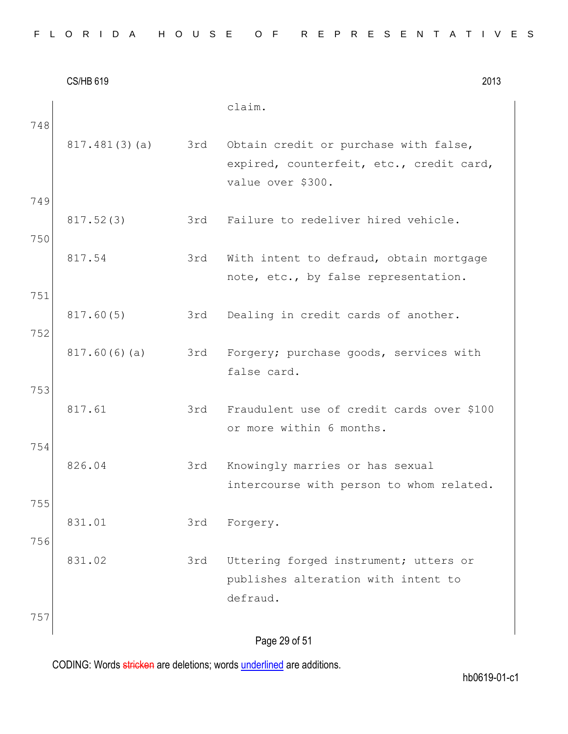|     | <b>CS/HB 619</b> |     | 2013                                                                                                   |
|-----|------------------|-----|--------------------------------------------------------------------------------------------------------|
| 748 |                  |     | claim.                                                                                                 |
|     | 817.481(3)(a)    | 3rd | Obtain credit or purchase with false,<br>expired, counterfeit, etc., credit card,<br>value over \$300. |
| 749 |                  |     |                                                                                                        |
| 750 | 817.52(3)        | 3rd | Failure to redeliver hired vehicle.                                                                    |
|     | 817.54           | 3rd | With intent to defraud, obtain mortgage<br>note, etc., by false representation.                        |
| 751 |                  |     |                                                                                                        |
| 752 | 817.60(5)        | 3rd | Dealing in credit cards of another.                                                                    |
|     | 817.60(6)(a)     | 3rd | Forgery; purchase goods, services with<br>false card.                                                  |
| 753 |                  |     |                                                                                                        |
|     | 817.61           | 3rd | Fraudulent use of credit cards over \$100<br>or more within 6 months.                                  |
| 754 |                  |     |                                                                                                        |
|     | 826.04           | 3rd | Knowingly marries or has sexual<br>intercourse with person to whom related.                            |
| 755 |                  |     |                                                                                                        |
| 756 | 831.01           | 3rd | Forgery.                                                                                               |
|     | 831.02           | 3rd | Uttering forged instrument; utters or                                                                  |
|     |                  |     | publishes alteration with intent to                                                                    |
|     |                  |     | defraud.                                                                                               |
| 757 |                  |     |                                                                                                        |
|     |                  |     | Page 29 of 51                                                                                          |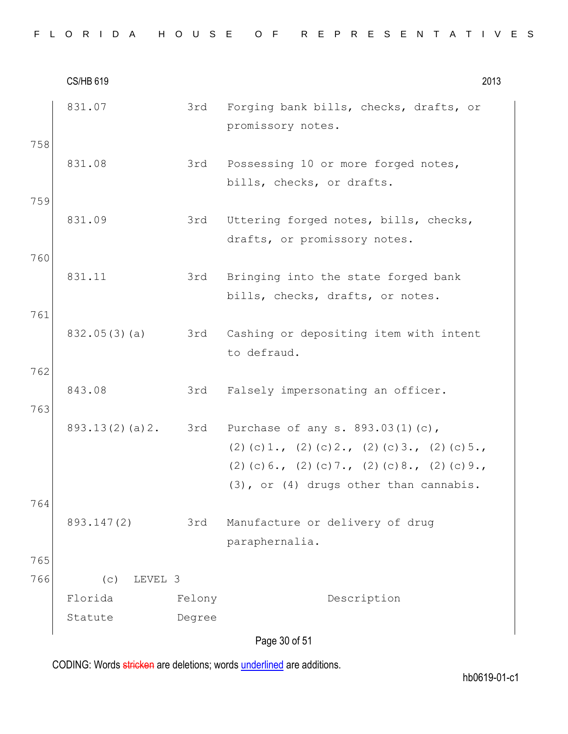|  |  |  |  |  |  |  |  |  |  |  |  |  |  | FLORIDA HOUSE OF REPRESENTATIVES |  |  |  |  |  |  |  |  |  |  |  |  |  |  |  |  |  |  |
|--|--|--|--|--|--|--|--|--|--|--|--|--|--|----------------------------------|--|--|--|--|--|--|--|--|--|--|--|--|--|--|--|--|--|--|
|--|--|--|--|--|--|--|--|--|--|--|--|--|--|----------------------------------|--|--|--|--|--|--|--|--|--|--|--|--|--|--|--|--|--|--|

|            | <b>CS/HB 619</b>          |        | 2013                                                                                                                                                                                   |
|------------|---------------------------|--------|----------------------------------------------------------------------------------------------------------------------------------------------------------------------------------------|
| 758        | 831.07                    | 3rd    | Forging bank bills, checks, drafts, or<br>promissory notes.                                                                                                                            |
|            | 831.08                    | 3rd    | Possessing 10 or more forged notes,<br>bills, checks, or drafts.                                                                                                                       |
| 759        | 831.09                    | 3rd    | Uttering forged notes, bills, checks,<br>drafts, or promissory notes.                                                                                                                  |
| 760        | 831.11                    | 3rd    | Bringing into the state forged bank<br>bills, checks, drafts, or notes.                                                                                                                |
| 761        | 832.05(3)(a)              | 3rd    | Cashing or depositing item with intent<br>to defraud.                                                                                                                                  |
| 762<br>763 | 843.08                    | 3rd    | Falsely impersonating an officer.                                                                                                                                                      |
|            | 893.13(2)(a)2.            |        | 3rd Purchase of any s. 893.03(1)(c),<br>(2) (c) 1., (2) (c) 2., (2) (c) 3., (2) (c) 5.,<br>$(2)$ (c) 6., (2) (c) 7., (2) (c) 8., (2) (c) 9.,<br>(3), or (4) drugs other than cannabis. |
| 764        | 893.147(2)                | 3rd    | Manufacture or delivery of drug<br>paraphernalia.                                                                                                                                      |
| 765<br>766 | LEVEL 3<br>(c)<br>Florida | Felony | Description                                                                                                                                                                            |
|            | Statute                   | Degree |                                                                                                                                                                                        |
|            |                           |        | Page 30 of 51                                                                                                                                                                          |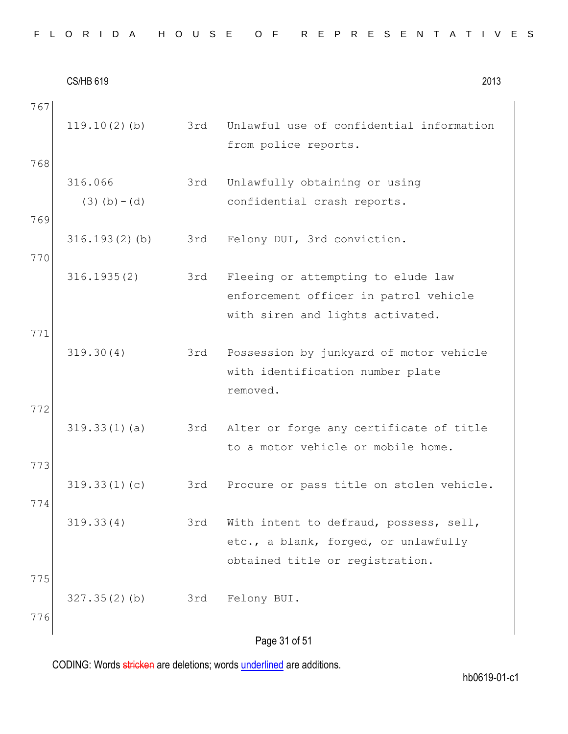$CS/HB 619$  2013 Page 31 of 51 767 119.10(2)(b) 3rd Unlawful use of confidential information from police reports. 768 316.066  $(3)(b)-(d)$ 3rd Unlawfully obtaining or using confidential crash reports. 769 316.193(2)(b) 3rd Felony DUI, 3rd conviction. 770 316.1935(2) 3rd Fleeing or attempting to elude law enforcement officer in patrol vehicle with siren and lights activated. 771 319.30(4) 3rd Possession by junkyard of motor vehicle with identification number plate removed. 772 319.33(1)(a) 3rd Alter or forge any certificate of title to a motor vehicle or mobile home. 773 319.33(1)(c) 3rd Procure or pass title on stolen vehicle. 774 319.33(4) 3rd With intent to defraud, possess, sell, etc., a blank, forged, or unlawfully obtained title or registration. 775 327.35(2)(b) 3rd Felony BUI. 776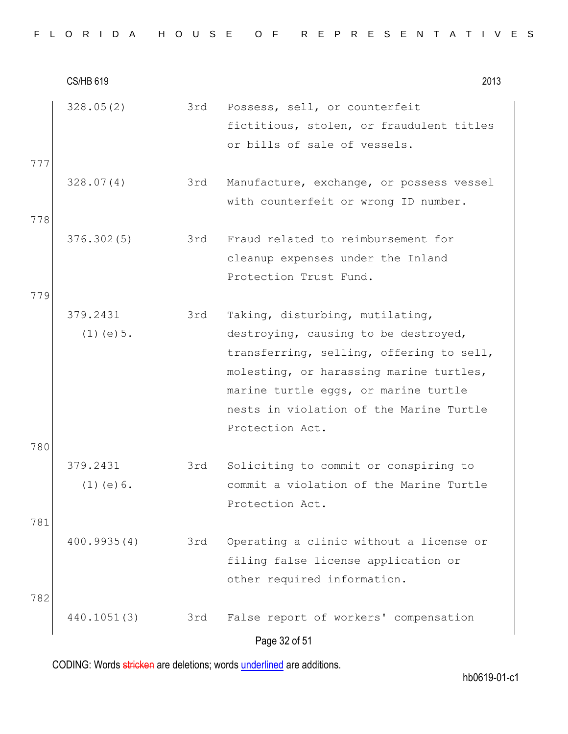|  |  |  |  |  |  |  |  | FLORIDA HOUSE OF REPRESENTATIVES |  |  |  |  |  |  |  |  |  |  |  |  |  |  |  |  |  |  |  |  |  |  |  |  |  |  |
|--|--|--|--|--|--|--|--|----------------------------------|--|--|--|--|--|--|--|--|--|--|--|--|--|--|--|--|--|--|--|--|--|--|--|--|--|--|
|--|--|--|--|--|--|--|--|----------------------------------|--|--|--|--|--|--|--|--|--|--|--|--|--|--|--|--|--|--|--|--|--|--|--|--|--|--|

|            | <b>CS/HB 619</b>            |     | 2013                                                                                                                                                                                                                                                                 |
|------------|-----------------------------|-----|----------------------------------------------------------------------------------------------------------------------------------------------------------------------------------------------------------------------------------------------------------------------|
| 777        | 328.05(2)                   | 3rd | Possess, sell, or counterfeit<br>fictitious, stolen, or fraudulent titles<br>or bills of sale of vessels.                                                                                                                                                            |
| 778        | 328.07(4)                   | 3rd | Manufacture, exchange, or possess vessel<br>with counterfeit or wrong ID number.                                                                                                                                                                                     |
|            | 376.302(5)                  | 3rd | Fraud related to reimbursement for<br>cleanup expenses under the Inland<br>Protection Trust Fund.                                                                                                                                                                    |
| 779        | 379.2431<br>$(1)$ (e) $5$ . | 3rd | Taking, disturbing, mutilating,<br>destroying, causing to be destroyed,<br>transferring, selling, offering to sell,<br>molesting, or harassing marine turtles,<br>marine turtle eggs, or marine turtle<br>nests in violation of the Marine Turtle<br>Protection Act. |
| 780        | 379.2431<br>$(1)$ (e) $6$ . | 3rd | Soliciting to commit or conspiring to<br>commit a violation of the Marine Turtle<br>Protection Act.                                                                                                                                                                  |
| 781<br>782 | 400.9935(4)                 | 3rd | Operating a clinic without a license or<br>filing false license application or<br>other required information.                                                                                                                                                        |
|            | 440.1051(3)                 | 3rd | False report of workers' compensation<br>Page 32 of 51                                                                                                                                                                                                               |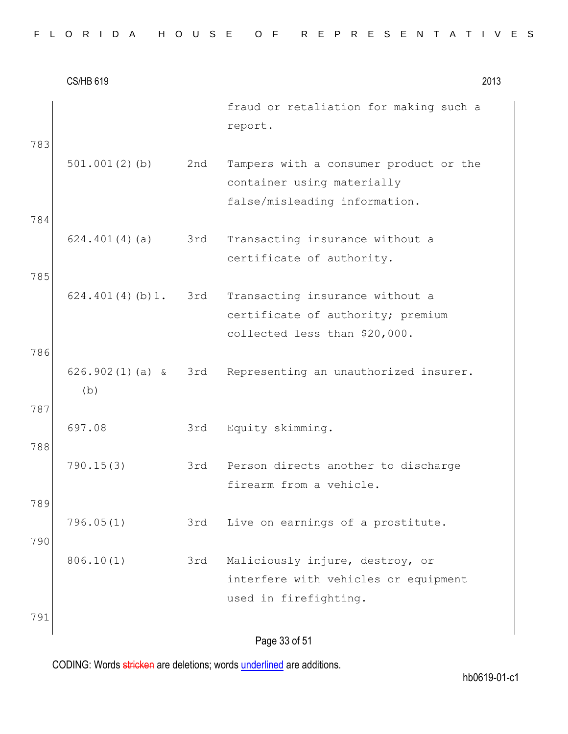|  |  |  |  |  |  |  |  |  |  |  |  |  |  | FLORIDA HOUSE OF REPRESENTATIVES |  |  |  |  |  |  |  |  |  |  |  |  |  |  |  |  |  |  |
|--|--|--|--|--|--|--|--|--|--|--|--|--|--|----------------------------------|--|--|--|--|--|--|--|--|--|--|--|--|--|--|--|--|--|--|
|--|--|--|--|--|--|--|--|--|--|--|--|--|--|----------------------------------|--|--|--|--|--|--|--|--|--|--|--|--|--|--|--|--|--|--|

|     | <b>CS/HB 619</b>         |     | 2013                                                                                                  |
|-----|--------------------------|-----|-------------------------------------------------------------------------------------------------------|
| 783 |                          |     | fraud or retaliation for making such a<br>report.                                                     |
|     | 501.001(2)(b)            | 2nd | Tampers with a consumer product or the<br>container using materially<br>false/misleading information. |
| 784 |                          |     |                                                                                                       |
|     | 624.401(4)(a)            | 3rd | Transacting insurance without a<br>certificate of authority.                                          |
| 785 |                          |     |                                                                                                       |
|     | 624.401(4)(b)1.          | 3rd | Transacting insurance without a<br>certificate of authority; premium<br>collected less than \$20,000. |
| 786 |                          |     |                                                                                                       |
| 787 | $626.902(1)(a)$ &<br>(b) | 3rd | Representing an unauthorized insurer.                                                                 |
| 788 | 697.08                   | 3rd | Equity skimming.                                                                                      |
|     | 790.15(3)                | 3rd | Person directs another to discharge<br>firearm from a vehicle.                                        |
| 789 |                          |     |                                                                                                       |
| 790 | 796.05(1)                | 3rd | Live on earnings of a prostitute.                                                                     |
|     | 806.10(1)                | 3rd | Maliciously injure, destroy, or                                                                       |
|     |                          |     | interfere with vehicles or equipment                                                                  |
|     |                          |     | used in firefighting.                                                                                 |
| 791 |                          |     |                                                                                                       |
|     |                          |     | Page 33 of 51                                                                                         |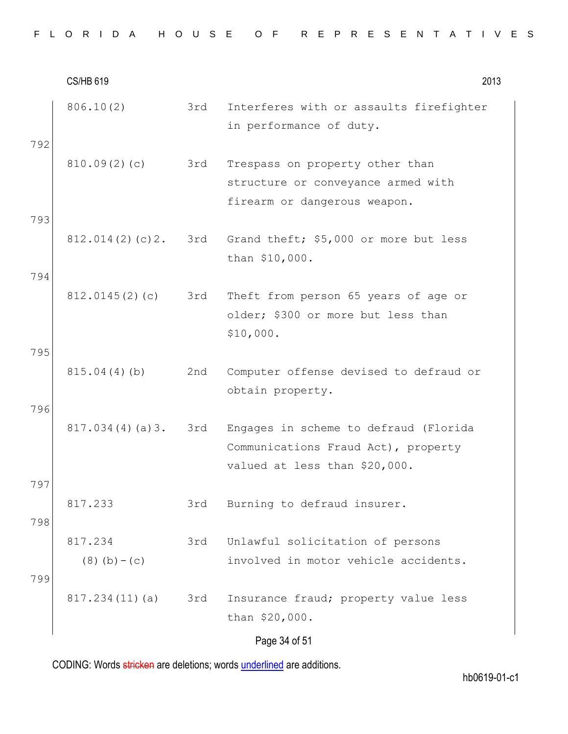|  |  |  |  |  |  |  |  |  |  |  |  |  |  | FLORIDA HOUSE OF REPRESENTATIVES |  |  |  |  |  |  |  |  |  |  |  |  |  |  |  |  |  |  |
|--|--|--|--|--|--|--|--|--|--|--|--|--|--|----------------------------------|--|--|--|--|--|--|--|--|--|--|--|--|--|--|--|--|--|--|
|--|--|--|--|--|--|--|--|--|--|--|--|--|--|----------------------------------|--|--|--|--|--|--|--|--|--|--|--|--|--|--|--|--|--|--|

|            | <b>CS/HB 619</b>           |     | 2013                                                                                                          |
|------------|----------------------------|-----|---------------------------------------------------------------------------------------------------------------|
| 792        | 806.10(2)                  | 3rd | Interferes with or assaults firefighter<br>in performance of duty.                                            |
|            | 810.09(2)(c)               | 3rd | Trespass on property other than<br>structure or conveyance armed with<br>firearm or dangerous weapon.         |
| 793        | 812.014(2)(c)2.            |     | 3rd Grand theft; \$5,000 or more but less<br>than \$10,000.                                                   |
| 794        | 812.0145(2)(c)             | 3rd | Theft from person 65 years of age or<br>older; \$300 or more but less than<br>\$10,000.                       |
| 795        | 815.04(4)(b)               | 2nd | Computer offense devised to defraud or<br>obtain property.                                                    |
| 796        | 817.034(4)(a)3.            | 3rd | Engages in scheme to defraud (Florida<br>Communications Fraud Act), property<br>valued at less than \$20,000. |
| 797<br>798 | 817.233                    | 3rd | Burning to defraud insurer.                                                                                   |
| 799        | 817.234<br>$(8)$ (b) – (c) | 3rd | Unlawful solicitation of persons<br>involved in motor vehicle accidents.                                      |
|            | 817.234(11)(a)             | 3rd | Insurance fraud; property value less<br>than \$20,000.                                                        |
|            |                            |     | Page 34 of 51                                                                                                 |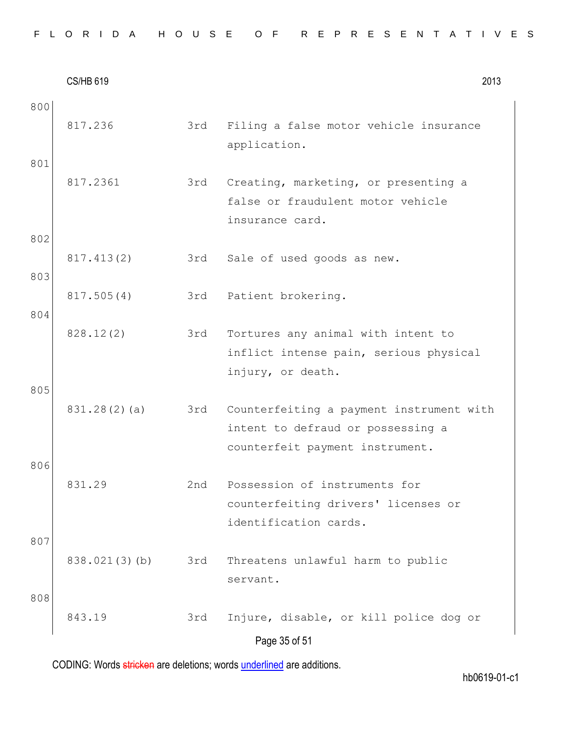| FLORIDA HOUSE OF REPRESENTATIVES |  |  |  |  |  |  |  |  |  |  |  |  |  |  |  |  |  |  |  |  |  |  |  |  |  |  |
|----------------------------------|--|--|--|--|--|--|--|--|--|--|--|--|--|--|--|--|--|--|--|--|--|--|--|--|--|--|
|----------------------------------|--|--|--|--|--|--|--|--|--|--|--|--|--|--|--|--|--|--|--|--|--|--|--|--|--|--|

|            | <b>CS/HB 619</b> |     | 2013                                                                                                             |
|------------|------------------|-----|------------------------------------------------------------------------------------------------------------------|
| 800<br>801 | 817.236          | 3rd | Filing a false motor vehicle insurance<br>application.                                                           |
| 802        | 817.2361         | 3rd | Creating, marketing, or presenting a<br>false or fraudulent motor vehicle<br>insurance card.                     |
| 803        | 817.413(2)       | 3rd | Sale of used goods as new.                                                                                       |
| 804        | 817.505(4)       | 3rd | Patient brokering.                                                                                               |
| 805        | 828.12(2)        | 3rd | Tortures any animal with intent to<br>inflict intense pain, serious physical<br>injury, or death.                |
| 806        | 831.28(2)(a)     | 3rd | Counterfeiting a payment instrument with<br>intent to defraud or possessing a<br>counterfeit payment instrument. |
|            | 831.29           | 2nd | Possession of instruments for<br>counterfeiting drivers' licenses or<br>identification cards.                    |
| 807        | 838.021(3)(b)    | 3rd | Threatens unlawful harm to public<br>servant.                                                                    |
| 808        | 843.19           | 3rd | Injure, disable, or kill police dog or<br>Page 35 of 51                                                          |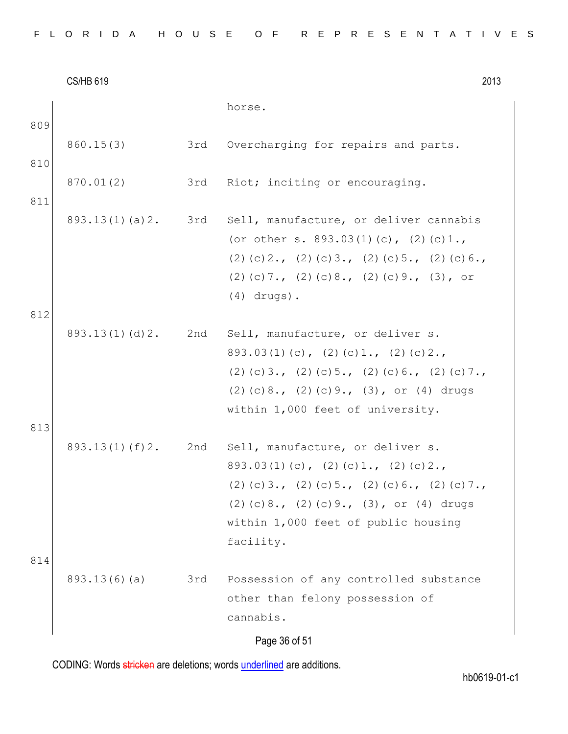|     | <b>CS/HB 619</b> |     | 2013                                                                                                                                                                                                                                            |  |
|-----|------------------|-----|-------------------------------------------------------------------------------------------------------------------------------------------------------------------------------------------------------------------------------------------------|--|
| 809 |                  |     | horse.                                                                                                                                                                                                                                          |  |
| 810 | 860.15(3)        | 3rd | Overcharging for repairs and parts.                                                                                                                                                                                                             |  |
| 811 | 870.01(2)        | 3rd | Riot; inciting or encouraging.                                                                                                                                                                                                                  |  |
| 812 | 893.13(1)(a)2.   |     | 3rd Sell, manufacture, or deliver cannabis<br>(or other s. $893.03(1)(c)$ , $(2)(c)1.$ ,<br>$(2)$ (c) 2., (2) (c) 3., (2) (c) 5., (2) (c) 6.,<br>$(2)$ (c) 7., (2) (c) 8., (2) (c) 9., (3), or<br>$(4)$ drugs).                                 |  |
| 813 | 893.13(1)(d)2.   |     | 2nd Sell, manufacture, or deliver s.<br>$893.03(1)(c)$ , $(2)(c)1.$ , $(2)(c)2.$<br>$(2)$ (c) 3., (2) (c) 5., (2) (c) 6., (2) (c) 7.,<br>$(2)$ (c) 8., $(2)$ (c) 9., $(3)$ , or $(4)$ drugs<br>within 1,000 feet of university.                 |  |
| 814 | 893.13(1)(f)2.   |     | 2nd Sell, manufacture, or deliver s.<br>$893.03(1)(c)$ , $(2)(c)1.$ , $(2)(c)2.$<br>$(2)$ (c) 3., (2) (c) 5., (2) (c) 6., (2) (c) 7.,<br>$(2)$ (c) 8., $(2)$ (c) 9., $(3)$ , or $(4)$ drugs<br>within 1,000 feet of public housing<br>facility. |  |
|     | 893.13(6)(a)     | 3rd | Possession of any controlled substance<br>other than felony possession of<br>cannabis.<br>Page 36 of 51                                                                                                                                         |  |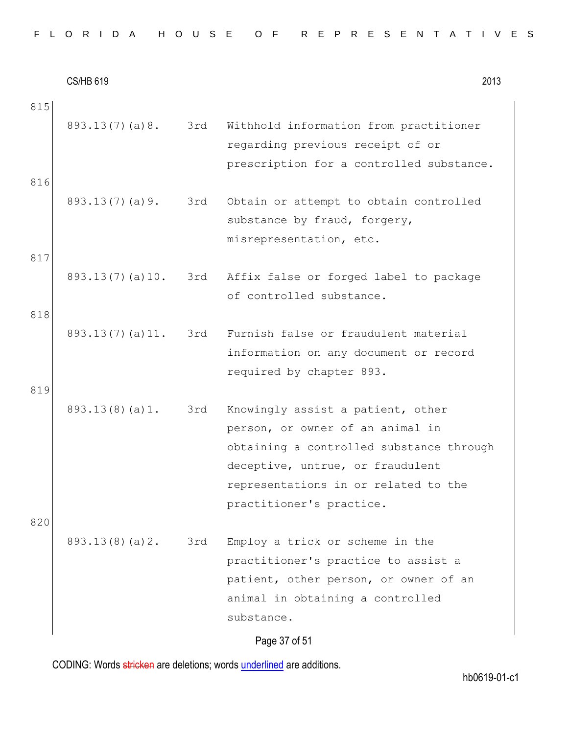CS/HB 619 2013 815 893.13(7)(a)8. 3rd Withhold information from practitioner regarding previous receipt of or prescription for a controlled substance. 816 893.13(7)(a)9. 3rd Obtain or attempt to obtain controlled substance by fraud, forgery, misrepresentation, etc. 817 893.13(7)(a)10. 3rd Affix false or forged label to package of controlled substance. 818 893.13(7)(a)11. 3rd Furnish false or fraudulent material information on any document or record required by chapter 893. 819 893.13(8)(a)1. 3rd Knowingly assist a patient, other person, or owner of an animal in obtaining a controlled substance through deceptive, untrue, or fraudulent representations in or related to the practitioner's practice. 820 893.13(8)(a)2. 3rd Employ a trick or scheme in the practitioner's practice to assist a patient, other person, or owner of an animal in obtaining a controlled substance.

Page 37 of 51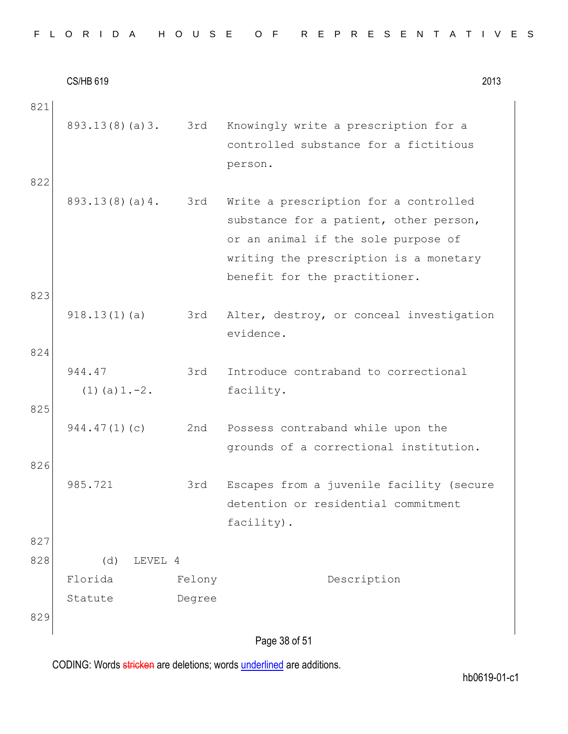CS/HB 619 2013 Page 38 of 51 821 893.13(8)(a)3. 3rd Knowingly write a prescription for a controlled substance for a fictitious person. 822 893.13(8)(a)4. 3rd Write a prescription for a controlled substance for a patient, other person, or an animal if the sole purpose of writing the prescription is a monetary benefit for the practitioner. 823 918.13(1)(a) 3rd Alter, destroy, or conceal investigation evidence. 824 944.47  $(1)(a)1.-2.$ 3rd Introduce contraband to correctional facility. 825 944.47(1)(c) 2nd Possess contraband while upon the grounds of a correctional institution. 826 985.721 3rd Escapes from a juvenile facility (secure detention or residential commitment facility). 827 828 (d) LEVEL 4 Florida Statute Felony Degree Description 829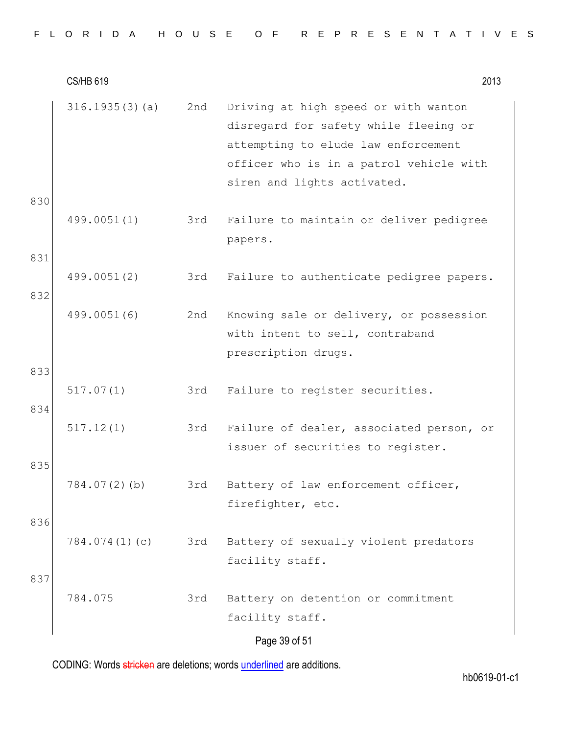|  |  |  |  |  |  |  |  | FLORIDA HOUSE OF REPRESENTATIVES |  |  |  |  |  |  |  |  |  |  |  |  |  |  |  |  |  |  |  |  |  |  |  |  |  |  |
|--|--|--|--|--|--|--|--|----------------------------------|--|--|--|--|--|--|--|--|--|--|--|--|--|--|--|--|--|--|--|--|--|--|--|--|--|--|
|--|--|--|--|--|--|--|--|----------------------------------|--|--|--|--|--|--|--|--|--|--|--|--|--|--|--|--|--|--|--|--|--|--|--|--|--|--|

CS/HB 619 2013 Page 39 of 51 316.1935(3)(a) 2nd Driving at high speed or with wanton disregard for safety while fleeing or attempting to elude law enforcement officer who is in a patrol vehicle with siren and lights activated. 830 499.0051(1) 3rd Failure to maintain or deliver pedigree papers. 831 499.0051(2) 3rd Failure to authenticate pedigree papers. 832 499.0051(6) 2nd Knowing sale or delivery, or possession with intent to sell, contraband prescription drugs. 833 517.07(1) 3rd Failure to register securities. 834 517.12(1) 3rd Failure of dealer, associated person, or issuer of securities to register. 835 784.07(2)(b) 3rd Battery of law enforcement officer, firefighter, etc. 836 784.074(1)(c) 3rd Battery of sexually violent predators facility staff. 837 784.075 3rd Battery on detention or commitment facility staff.

CODING: Words stricken are deletions; words underlined are additions.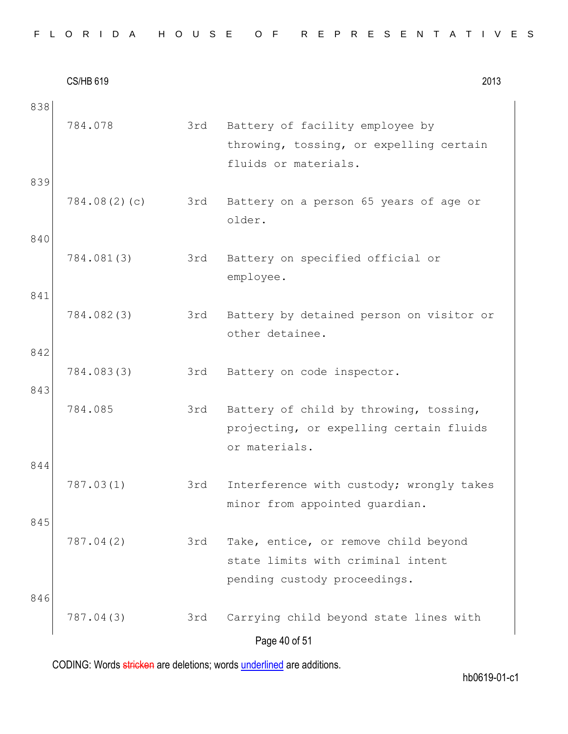| FLORIDA HOUSE OF REPRESENTATIVES |  |
|----------------------------------|--|
|----------------------------------|--|

CS/HB 619 2013 Page 40 of 51 838 784.078 3rd Battery of facility employee by throwing, tossing, or expelling certain fluids or materials. 839 784.08(2)(c) 3rd Battery on a person 65 years of age or older. 840 784.081(3) 3rd Battery on specified official or employee. 841 784.082(3) 3rd Battery by detained person on visitor or other detainee. 842 784.083(3) 3rd Battery on code inspector. 843 784.085 3rd Battery of child by throwing, tossing, projecting, or expelling certain fluids or materials. 844 787.03(1) 3rd Interference with custody; wrongly takes minor from appointed guardian. 845 787.04(2) 3rd Take, entice, or remove child beyond state limits with criminal intent pending custody proceedings. 846 787.04(3) 3rd Carrying child beyond state lines with

CODING: Words stricken are deletions; words underlined are additions.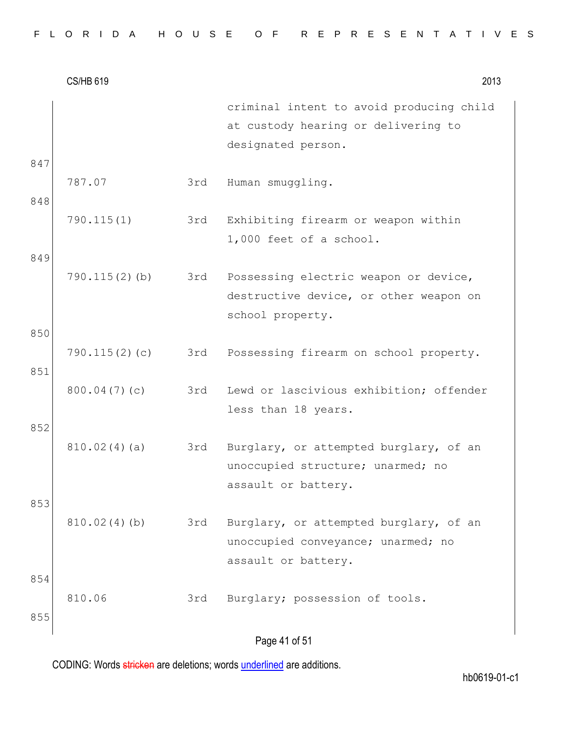|  |  |  |  |  |  | FLORIDA HOUSE OF REPRESENTATIVES |  |  |  |  |  |  |  |  |
|--|--|--|--|--|--|----------------------------------|--|--|--|--|--|--|--|--|
|  |  |  |  |  |  |                                  |  |  |  |  |  |  |  |  |

|            | <b>CS/HB 619</b> |     | 2013                                                                                                  |
|------------|------------------|-----|-------------------------------------------------------------------------------------------------------|
| 847        |                  |     | criminal intent to avoid producing child<br>at custody hearing or delivering to<br>designated person. |
| 848        | 787.07           | 3rd | Human smuggling.                                                                                      |
|            | 790.115(1)       | 3rd | Exhibiting firearm or weapon within<br>1,000 feet of a school.                                        |
| 849        | $790.115(2)$ (b) | 3rd | Possessing electric weapon or device,<br>destructive device, or other weapon on<br>school property.   |
| 850<br>851 | 790.115(2)(c)    | 3rd | Possessing firearm on school property.                                                                |
|            | 800.04(7)(c)     | 3rd | Lewd or lascivious exhibition; offender<br>less than 18 years.                                        |
| 852        | 810.02(4)(a)     | 3rd | Burglary, or attempted burglary, of an<br>unoccupied structure; unarmed; no<br>assault or battery.    |
| 853        | 810.02(4)(b)     | 3rd | Burglary, or attempted burglary, of an<br>unoccupied conveyance; unarmed; no<br>assault or battery.   |
| 854<br>855 | 810.06           | 3rd | Burglary; possession of tools.                                                                        |
|            |                  |     | Page 41 of 51                                                                                         |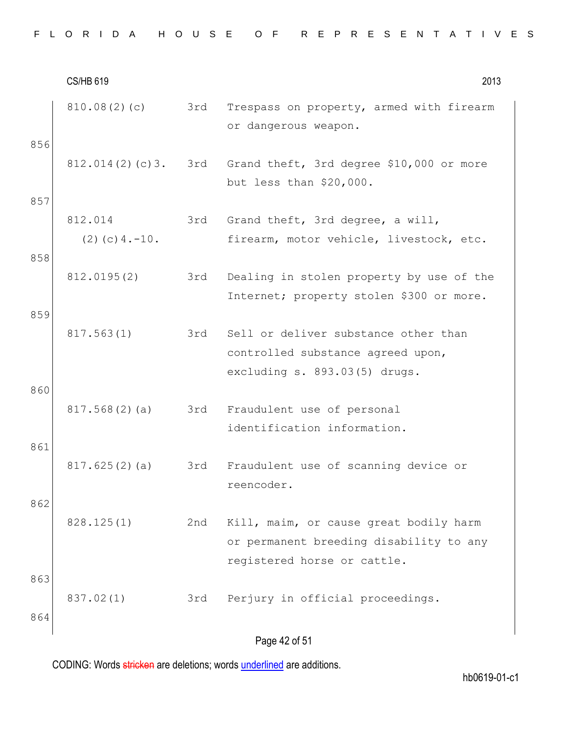|  |  | FLORIDA HOUSE OF REPRESENTATIVES |
|--|--|----------------------------------|
|--|--|----------------------------------|

|            | <b>CS/HB 619</b>                |     | 2013                                                                                                             |
|------------|---------------------------------|-----|------------------------------------------------------------------------------------------------------------------|
|            | 810.08(2)(c)                    | 3rd | Trespass on property, armed with firearm<br>or dangerous weapon.                                                 |
| 856        | 812.014(2)(c)3.                 | 3rd | Grand theft, 3rd degree \$10,000 or more<br>but less than \$20,000.                                              |
| 857<br>858 | 812.014<br>$(2)$ (c) 4. $-10$ . | 3rd | Grand theft, 3rd degree, a will,<br>firearm, motor vehicle, livestock, etc.                                      |
|            | 812.0195(2)                     | 3rd | Dealing in stolen property by use of the<br>Internet; property stolen \$300 or more.                             |
| 859<br>860 | 817.563(1)                      | 3rd | Sell or deliver substance other than<br>controlled substance agreed upon,<br>excluding s. 893.03(5) drugs.       |
|            | 817.568(2)(a)                   | 3rd | Fraudulent use of personal<br>identification information.                                                        |
| 861        | 817.625(2)(a)                   | 3rd | Fraudulent use of scanning device or<br>reencoder.                                                               |
| 862        | 828.125(1)                      | 2nd | Kill, maim, or cause great bodily harm<br>or permanent breeding disability to any<br>registered horse or cattle. |
| 863<br>864 | 837.02(1)                       | 3rd | Perjury in official proceedings.                                                                                 |
|            |                                 |     | Page 42 of 51                                                                                                    |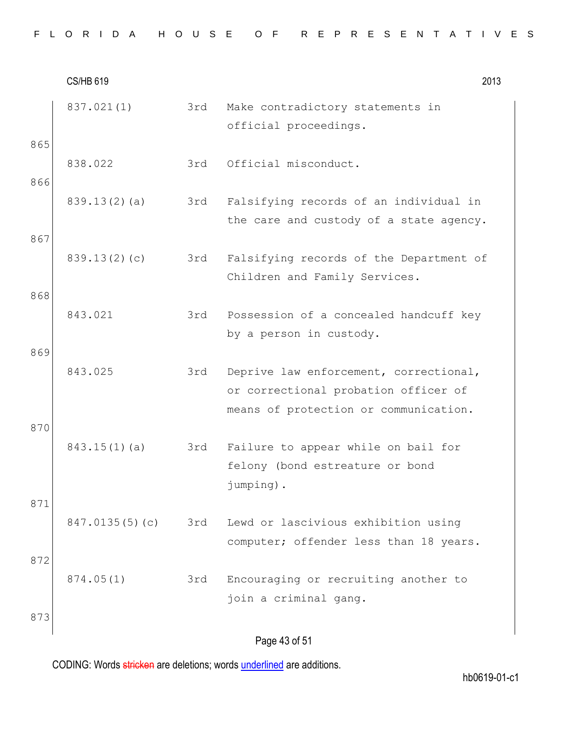|  |  |  |  |  |  |  |  |  |  | FLORIDA HOUSE OF REPRESENTATIVES |  |  |  |  |  |  |  |  |  |  |  |  |  |  |  |  |
|--|--|--|--|--|--|--|--|--|--|----------------------------------|--|--|--|--|--|--|--|--|--|--|--|--|--|--|--|--|
|--|--|--|--|--|--|--|--|--|--|----------------------------------|--|--|--|--|--|--|--|--|--|--|--|--|--|--|--|--|

CS/HB 619 2013 Page 43 of 51 837.021(1) 3rd Make contradictory statements in official proceedings. 865 838.022 3rd Official misconduct. 866 839.13(2)(a) 3rd Falsifying records of an individual in the care and custody of a state agency. 867 839.13(2)(c) 3rd Falsifying records of the Department of Children and Family Services. 868 843.021 3rd Possession of a concealed handcuff key by a person in custody. 869 843.025 3rd Deprive law enforcement, correctional, or correctional probation officer of means of protection or communication. 870 843.15(1)(a) 3rd Failure to appear while on bail for felony (bond estreature or bond jumping). 871 847.0135(5)(c) 3rd Lewd or lascivious exhibition using computer; offender less than 18 years. 872 874.05(1) 3rd Encouraging or recruiting another to join a criminal gang. 873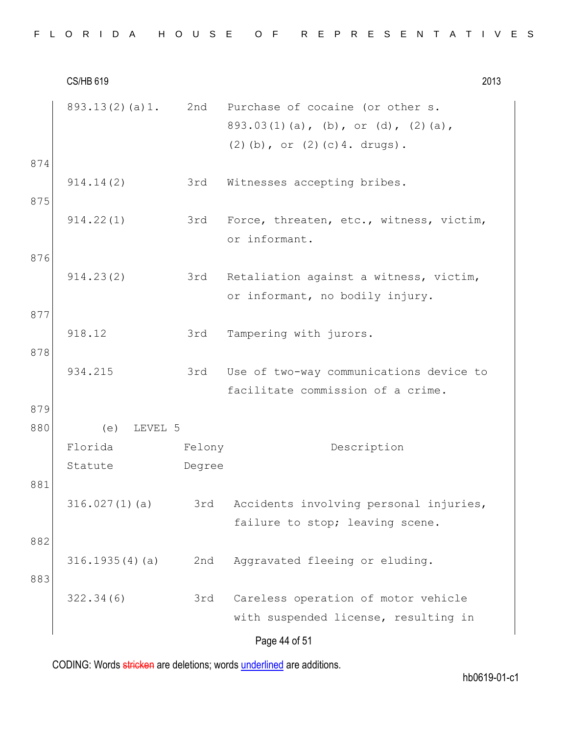|  |  |  |  |  |  |  |  | FLORIDA HOUSE OF REPRESENTATIVES |  |  |  |  |  |  |  |  |  |  |  |  |  |  |  |  |  |  |  |  |  |  |  |  |  |  |
|--|--|--|--|--|--|--|--|----------------------------------|--|--|--|--|--|--|--|--|--|--|--|--|--|--|--|--|--|--|--|--|--|--|--|--|--|--|
|--|--|--|--|--|--|--|--|----------------------------------|--|--|--|--|--|--|--|--|--|--|--|--|--|--|--|--|--|--|--|--|--|--|--|--|--|--|

CS/HB 619 2013 Page 44 of 51 893.13(2)(a)1. 2nd Purchase of cocaine (or other s. 893.03(1)(a), (b), or (d), (2)(a), (2)(b), or (2)(c)4. drugs). 874 914.14(2) 3rd Witnesses accepting bribes. 875 914.22(1) 3rd Force, threaten, etc., witness, victim, or informant. 876 914.23(2) 3rd Retaliation against a witness, victim, or informant, no bodily injury. 877 918.12 3rd Tampering with jurors. 878 934.215 3rd Use of two-way communications device to facilitate commission of a crime. 879 880 (e) LEVEL 5 Florida Statute Felony Degree Description 881 316.027(1)(a) 3rd Accidents involving personal injuries, failure to stop; leaving scene. 882 316.1935(4)(a) 2nd Aggravated fleeing or eluding. 883 322.34(6) 3rd Careless operation of motor vehicle with suspended license, resulting in

CODING: Words stricken are deletions; words underlined are additions.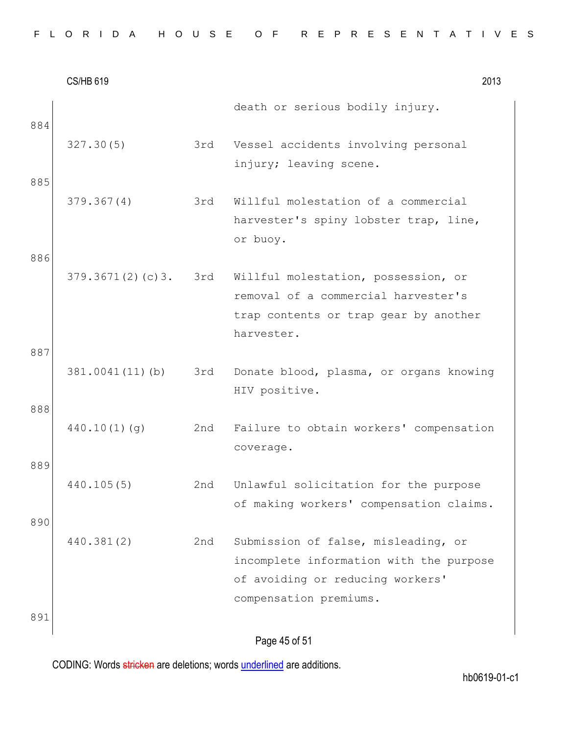|  |  |  |  |  |  |  |  |  |  |  |  |  |  | FLORIDA HOUSE OF REPRESENTATIVES |  |  |  |  |  |  |  |  |  |  |  |  |  |  |  |  |  |  |
|--|--|--|--|--|--|--|--|--|--|--|--|--|--|----------------------------------|--|--|--|--|--|--|--|--|--|--|--|--|--|--|--|--|--|--|
|--|--|--|--|--|--|--|--|--|--|--|--|--|--|----------------------------------|--|--|--|--|--|--|--|--|--|--|--|--|--|--|--|--|--|--|

|     | <b>CS/HB 619</b> |     | 2013                                                                                                                                         |
|-----|------------------|-----|----------------------------------------------------------------------------------------------------------------------------------------------|
| 884 |                  |     | death or serious bodily injury.                                                                                                              |
|     | 327.30(5)        | 3rd | Vessel accidents involving personal<br>injury; leaving scene.                                                                                |
| 885 |                  |     |                                                                                                                                              |
|     | 379.367(4)       | 3rd | Willful molestation of a commercial<br>harvester's spiny lobster trap, line,<br>or buoy.                                                     |
| 886 |                  |     |                                                                                                                                              |
|     | 379.3671(2)(c)3. | 3rd | Willful molestation, possession, or<br>removal of a commercial harvester's<br>trap contents or trap gear by another<br>harvester.            |
| 887 |                  |     |                                                                                                                                              |
|     | 381.0041(11)(b)  | 3rd | Donate blood, plasma, or organs knowing<br>HIV positive.                                                                                     |
| 888 | 440.10(1)(q)     | 2nd | Failure to obtain workers' compensation                                                                                                      |
|     |                  |     | coverage.                                                                                                                                    |
| 889 |                  |     |                                                                                                                                              |
|     | 440.105(5)       | 2nd | Unlawful solicitation for the purpose<br>of making workers' compensation claims.                                                             |
| 890 |                  |     |                                                                                                                                              |
|     | 440.381(2)       | 2nd | Submission of false, misleading, or<br>incomplete information with the purpose<br>of avoiding or reducing workers'<br>compensation premiums. |
| 891 |                  |     |                                                                                                                                              |
|     |                  |     | Page 45 of 51                                                                                                                                |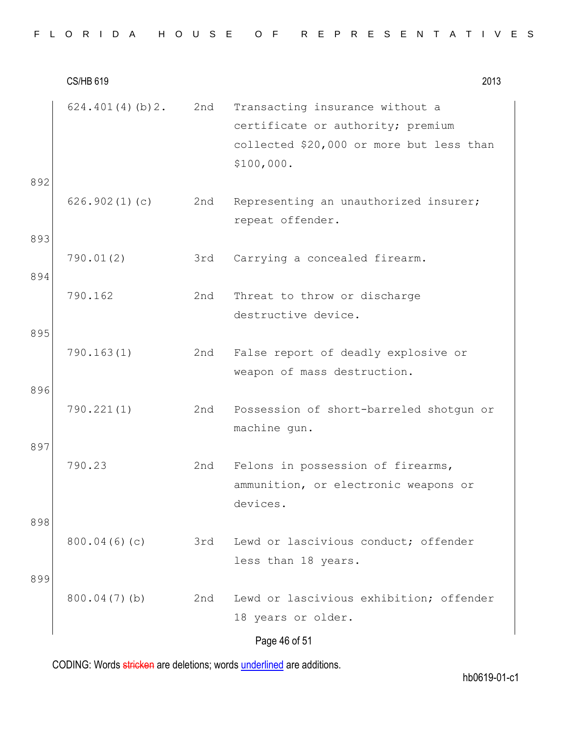| FLORIDA HOUSE OF REPRESENTATIVES |  |
|----------------------------------|--|
|----------------------------------|--|

CS/HB 619 2013 Page 46 of 51 624.401(4)(b)2. 2nd Transacting insurance without a certificate or authority; premium collected \$20,000 or more but less than \$100,000. 892 626.902(1)(c) 2nd Representing an unauthorized insurer; repeat offender. 893 790.01(2) 3rd Carrying a concealed firearm. 894 790.162 2nd Threat to throw or discharge destructive device. 895 790.163(1) 2nd False report of deadly explosive or weapon of mass destruction. 896 790.221(1) 2nd Possession of short-barreled shotgun or machine gun. 897 790.23 2nd Felons in possession of firearms, ammunition, or electronic weapons or devices. 898 800.04(6)(c) 3rd Lewd or lascivious conduct; offender less than 18 years. 899 800.04(7)(b) 2nd Lewd or lascivious exhibition; offender 18 years or older.

CODING: Words stricken are deletions; words underlined are additions.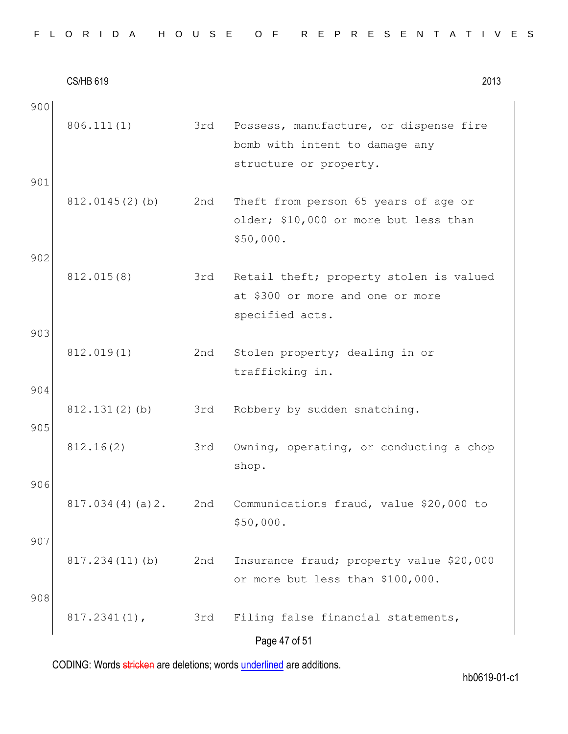| FLORIDA HOUSE OF REPRESENTATIVES |  |  |  |  |  |  |  |  |  |  |  |  |  |  |  |  |  |  |  |  |  |  |  |  |  |  |  |  |  |  |
|----------------------------------|--|--|--|--|--|--|--|--|--|--|--|--|--|--|--|--|--|--|--|--|--|--|--|--|--|--|--|--|--|--|
|----------------------------------|--|--|--|--|--|--|--|--|--|--|--|--|--|--|--|--|--|--|--|--|--|--|--|--|--|--|--|--|--|--|

CS/HB 619 2013 Page 47 of 51 900 806.111(1) 3rd Possess, manufacture, or dispense fire bomb with intent to damage any structure or property. 901 812.0145(2)(b) 2nd Theft from person 65 years of age or older; \$10,000 or more but less than \$50,000. 902 812.015(8) 3rd Retail theft; property stolen is valued at \$300 or more and one or more specified acts. 903 812.019(1) 2nd Stolen property; dealing in or trafficking in. 904 812.131(2)(b) 3rd Robbery by sudden snatching. 905 812.16(2) 3rd Owning, operating, or conducting a chop shop. 906 817.034(4)(a)2. 2nd Communications fraud, value \$20,000 to \$50,000. 907 817.234(11)(b) 2nd Insurance fraud; property value \$20,000 or more but less than \$100,000. 908 817.2341(1), 3rd Filing false financial statements,

CODING: Words stricken are deletions; words underlined are additions.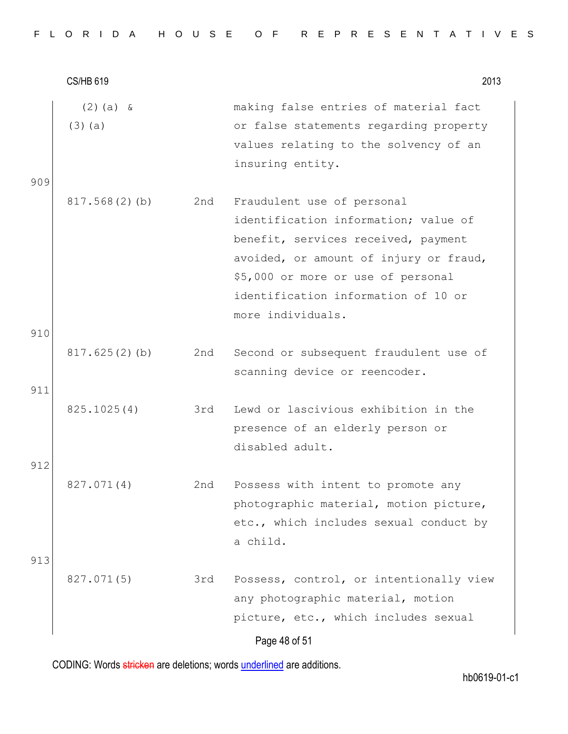CS/HB 619 2013 Page 48 of 51 (2)(a) & (3)(a) making false entries of material fact or false statements regarding property values relating to the solvency of an insuring entity. 909 817.568(2)(b) 2nd Fraudulent use of personal identification information; value of benefit, services received, payment avoided, or amount of injury or fraud, \$5,000 or more or use of personal identification information of 10 or more individuals. 910 817.625(2)(b) 2nd Second or subsequent fraudulent use of scanning device or reencoder. 911 825.1025(4) 3rd Lewd or lascivious exhibition in the presence of an elderly person or disabled adult. 912 827.071(4) 2nd Possess with intent to promote any photographic material, motion picture, etc., which includes sexual conduct by a child. 913 827.071(5) 3rd Possess, control, or intentionally view any photographic material, motion picture, etc., which includes sexual

CODING: Words stricken are deletions; words underlined are additions.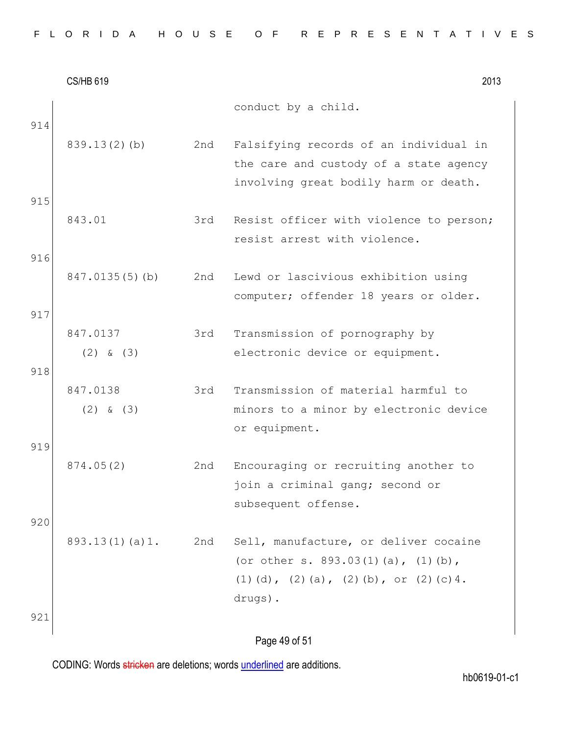| FLORIDA HOUSE OF REPRESENTATIVES |  |
|----------------------------------|--|
|----------------------------------|--|

|     | <b>CS/HB 619</b>          |     | 2013                                                                                                                                     |
|-----|---------------------------|-----|------------------------------------------------------------------------------------------------------------------------------------------|
| 914 |                           |     | conduct by a child.                                                                                                                      |
| 915 | $839.13(2)$ (b)           | 2nd | Falsifying records of an individual in<br>the care and custody of a state agency<br>involving great bodily harm or death.                |
| 916 | 843.01                    | 3rd | Resist officer with violence to person;<br>resist arrest with violence.                                                                  |
| 917 | 847.0135(5)(b)            | 2nd | Lewd or lascivious exhibition using<br>computer; offender 18 years or older.                                                             |
| 918 | 847.0137<br>$(2)$ & $(3)$ | 3rd | Transmission of pornography by<br>electronic device or equipment.                                                                        |
|     | 847.0138<br>$(2)$ & $(3)$ | 3rd | Transmission of material harmful to<br>minors to a minor by electronic device<br>or equipment.                                           |
| 919 | 874.05(2)                 | 2nd | Encouraging or recruiting another to<br>join a criminal gang; second or<br>subsequent offense.                                           |
| 920 | 893.13(1)(a)1.            | 2nd | Sell, manufacture, or deliver cocaine<br>(or other s. $893.03(1)(a)$ , $(1)(b)$ ,<br>(1) (d), (2) (a), (2) (b), or (2) (c) 4.<br>drugs). |
| 921 |                           |     | Page 49 of 51                                                                                                                            |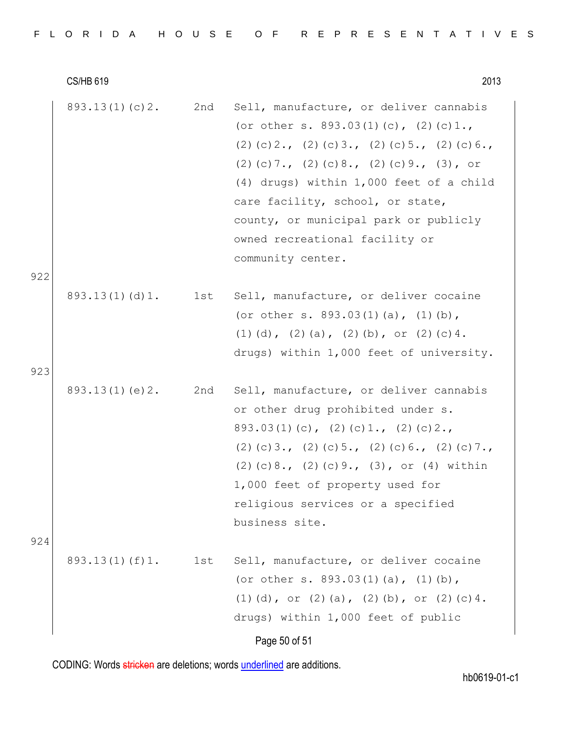|     | <b>CS/HB 619</b>   |     | 2013                                                                                                                                                                                                                                                                                                                                                                      |
|-----|--------------------|-----|---------------------------------------------------------------------------------------------------------------------------------------------------------------------------------------------------------------------------------------------------------------------------------------------------------------------------------------------------------------------------|
|     | 893.13(1)(c)2.     | 2nd | Sell, manufacture, or deliver cannabis<br>(or other s. $893.03(1)(c)$ , $(2)(c)1.$ ,<br>$(2)$ (c) 2., (2) (c) 3., (2) (c) 5., (2) (c) 6.,<br>$(2)$ (c) 7., (2) (c) 8., (2) (c) 9., (3), or<br>(4) drugs) within 1,000 feet of a child<br>care facility, school, or state,<br>county, or municipal park or publicly<br>owned recreational facility or<br>community center. |
| 922 | 893.13(1)(d)1.     | 1st | Sell, manufacture, or deliver cocaine<br>(or other s. $893.03(1)(a)$ , $(1)(b)$ ,<br>(1) (d), (2) (a), (2) (b), or (2) (c) 4.<br>drugs) within 1,000 feet of university.                                                                                                                                                                                                  |
| 923 | 893.13(1)(e)2.     | 2nd | Sell, manufacture, or deliver cannabis<br>or other drug prohibited under s.<br>$893.03(1)(c)$ , $(2)(c)1.$ , $(2)(c)2.$<br>$(2)$ (c) 3., (2) (c) 5., (2) (c) 6., (2) (c) 7.,<br>$(2)$ (c) 8., $(2)$ (c) 9., $(3)$ , or $(4)$ within<br>1,000 feet of property used for<br>religious services or a specified<br>business site.                                             |
| 924 | $893.13(1)$ (f) 1. | 1st | Sell, manufacture, or deliver cocaine<br>(or other s. 893.03(1)(a), $(1)$ (b),<br>(1) (d), or (2) (a), (2) (b), or (2) (c) 4.<br>drugs) within 1,000 feet of public<br>Page 50 of 51                                                                                                                                                                                      |